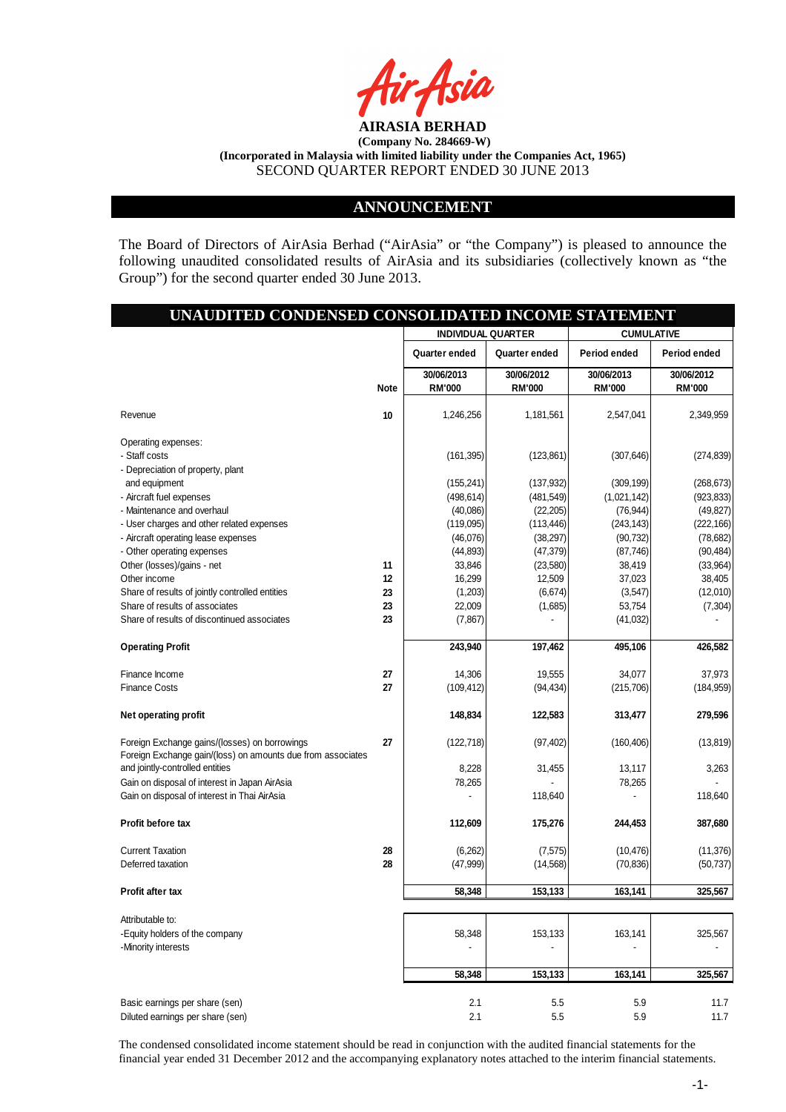

#### **ANNOUNCEMENT**

The Board of Directors of AirAsia Berhad ("AirAsia" or "the Company") is pleased to announce the following unaudited consolidated results of AirAsia and its subsidiaries (collectively known as "the Group") for the second quarter ended 30 June 2013.

|                                                             | <b>INDIVIDUAL QUARTER</b><br>Quarter ended<br>30/06/2013 | Quarter ended | <b>CUMULATIVE</b><br>Period ended |               |
|-------------------------------------------------------------|----------------------------------------------------------|---------------|-----------------------------------|---------------|
|                                                             |                                                          |               |                                   |               |
|                                                             |                                                          |               |                                   | Period ended  |
|                                                             |                                                          | 30/06/2012    | 30/06/2013                        | 30/06/2012    |
| <b>Note</b>                                                 | <b>RM'000</b>                                            | <b>RM'000</b> | <b>RM'000</b>                     | <b>RM'000</b> |
| 10<br>Revenue                                               | 1,246,256                                                | 1,181,561     | 2,547,041                         | 2,349,959     |
| Operating expenses:                                         |                                                          |               |                                   |               |
| - Staff costs                                               | (161, 395)                                               | (123, 861)    | (307, 646)                        | (274, 839)    |
| - Depreciation of property, plant                           |                                                          |               |                                   |               |
| and equipment                                               | (155, 241)                                               | (137, 932)    | (309, 199)                        | (268, 673)    |
| - Aircraft fuel expenses                                    | (498, 614)                                               | (481, 549)    | (1,021,142)                       | (923, 833)    |
| - Maintenance and overhaul                                  | (40,086)                                                 | (22, 205)     | (76, 944)                         | (49, 827)     |
| - User charges and other related expenses                   | (119,095)                                                | (113, 446)    | (243, 143)                        | (222, 166)    |
| - Aircraft operating lease expenses                         | (46,076)                                                 | (38, 297)     | (90, 732)                         | (78, 682)     |
| - Other operating expenses                                  | (44, 893)                                                | (47, 379)     | (87, 746)                         | (90, 484)     |
| Other (losses)/gains - net<br>11                            | 33,846                                                   | (23,580)      | 38,419                            | (33,964)      |
| Other income<br>12                                          | 16,299                                                   | 12,509        | 37,023                            | 38,405        |
| Share of results of jointly controlled entities<br>23       | (1,203)                                                  | (6,674)       | (3, 547)                          | (12,010)      |
| Share of results of associates<br>23                        | 22,009                                                   | (1,685)       | 53,754                            | (7, 304)      |
| Share of results of discontinued associates<br>23           | (7, 867)                                                 |               | (41, 032)                         |               |
| <b>Operating Profit</b>                                     | 243,940                                                  | 197,462       | 495,106                           | 426,582       |
| Finance Income<br>27                                        | 14,306                                                   | 19,555        | 34,077                            | 37,973        |
| <b>Finance Costs</b><br>27                                  | (109, 412)                                               | (94, 434)     | (215, 706)                        | (184, 959)    |
| Net operating profit                                        | 148,834                                                  | 122,583       | 313,477                           | 279,596       |
| Foreign Exchange gains/(losses) on borrowings<br>27         | (122, 718)                                               | (97, 402)     | (160, 406)                        | (13, 819)     |
| Foreign Exchange gain/(loss) on amounts due from associates |                                                          |               |                                   |               |
| and jointly-controlled entities                             | 8,228                                                    | 31,455        | 13,117                            | 3,263         |
| Gain on disposal of interest in Japan AirAsia               | 78,265                                                   |               | 78,265                            |               |
| Gain on disposal of interest in Thai AirAsia                |                                                          | 118,640       |                                   | 118,640       |
| Profit before tax                                           | 112,609                                                  | 175,276       | 244,453                           | 387,680       |
| <b>Current Taxation</b><br>28                               | (6,262)                                                  | (7, 575)      | (10, 476)                         | (11, 376)     |
| Deferred taxation<br>28                                     | (47,999)                                                 | (14, 568)     | (70, 836)                         | (50, 737)     |
| <b>Profit after tax</b>                                     | 58,348                                                   | 153,133       | 163,141                           | 325,567       |
|                                                             |                                                          |               |                                   |               |
| Attributable to:                                            |                                                          |               |                                   |               |
| -Equity holders of the company                              | 58,348                                                   | 153,133       | 163,141                           | 325,567       |
| -Minority interests                                         |                                                          |               |                                   |               |
|                                                             | 58,348                                                   | 153,133       | 163,141                           | 325,567       |
| Basic earnings per share (sen)                              | 2.1                                                      | 5.5           | 5.9                               | 11.7          |
| Diluted earnings per share (sen)                            | 2.1                                                      | 5.5           | 5.9                               | 11.7          |

The condensed consolidated income statement should be read in conjunction with the audited financial statements for the financial year ended 31 December 2012 and the accompanying explanatory notes attached to the interim financial statements.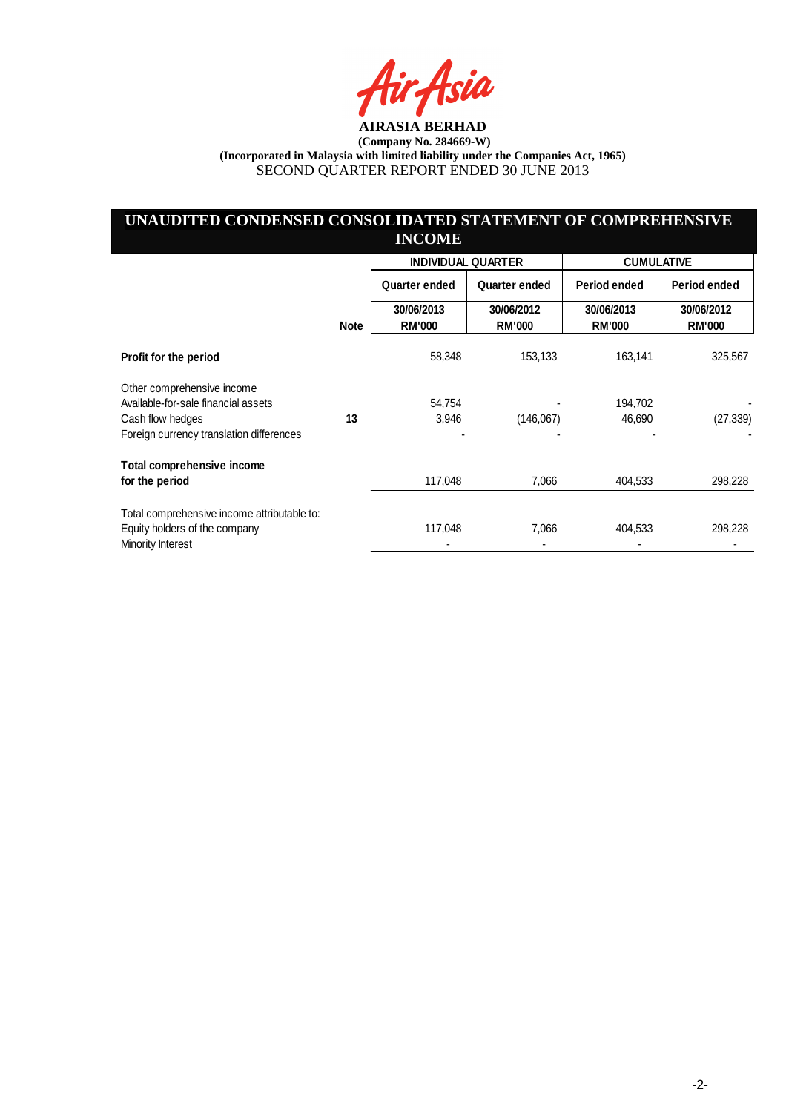Asia

# **UNAUDITED CONDENSED CONSOLIDATED STATEMENT OF COMPREHENSIVE INCOME**

|                                                                   |             | <b>INDIVIDUAL QUARTER</b>   |                             | <b>CUMULATIVE</b>           |                             |
|-------------------------------------------------------------------|-------------|-----------------------------|-----------------------------|-----------------------------|-----------------------------|
|                                                                   |             | Quarter ended               | Quarter ended               | Period ended                | Period ended                |
|                                                                   | <b>Note</b> | 30/06/2013<br><b>RM'000</b> | 30/06/2012<br><b>RM'000</b> | 30/06/2013<br><b>RM'000</b> | 30/06/2012<br><b>RM'000</b> |
| Profit for the period                                             |             | 58,348                      | 153,133                     | 163,141                     | 325,567                     |
| Other comprehensive income<br>Available-for-sale financial assets |             |                             |                             |                             |                             |
| Cash flow hedges                                                  | 13          | 54,754<br>3,946             | (146,067)                   | 194,702<br>46,690           | (27, 339)                   |
| Foreign currency translation differences                          |             |                             |                             |                             |                             |
| Total comprehensive income                                        |             |                             |                             |                             |                             |
| for the period                                                    |             | 117,048                     | 7,066                       | 404,533                     | 298,228                     |
| Total comprehensive income attributable to:                       |             |                             |                             |                             |                             |
| Equity holders of the company<br>Minority Interest                |             | 117,048                     | 7,066                       | 404,533                     | 298,228                     |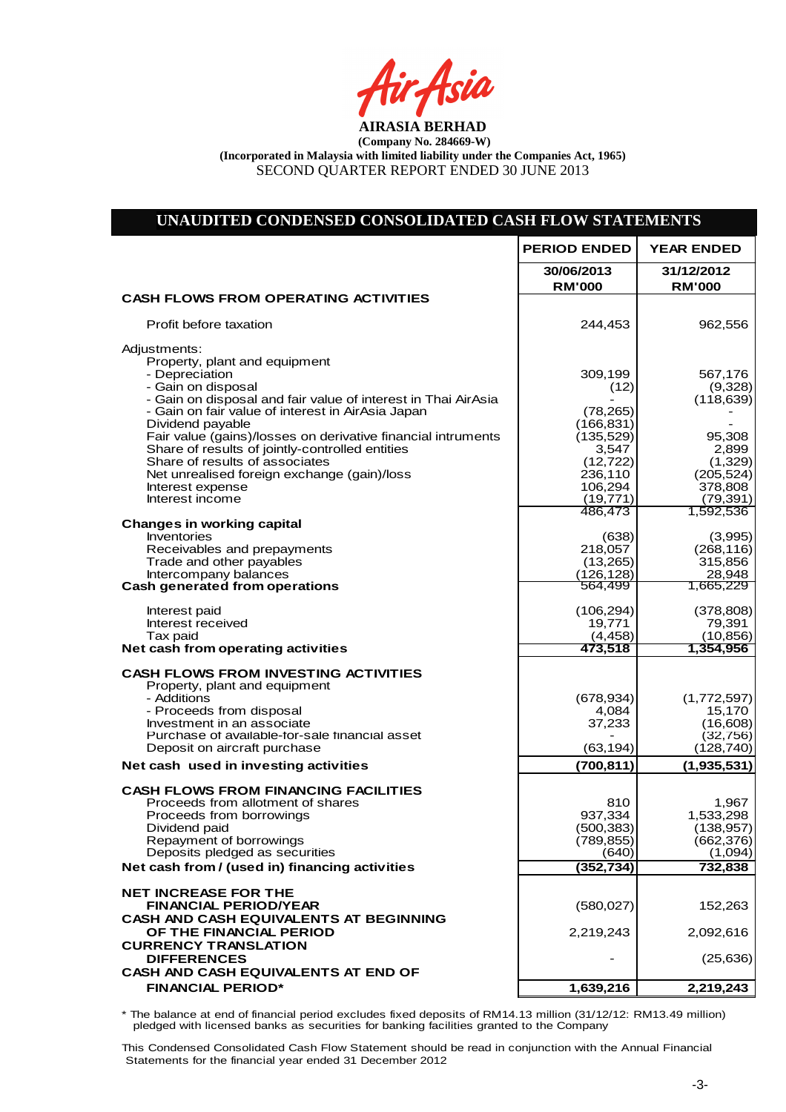fir<sub>t</sub>fsia

| UNAUDITED CONDENSED CONSOLIDATED CASH FLOW STATEMENTS                                                                                                                                                                                                                                                                                                                                                                                                   |                                                                                                      |                                                                                          |
|---------------------------------------------------------------------------------------------------------------------------------------------------------------------------------------------------------------------------------------------------------------------------------------------------------------------------------------------------------------------------------------------------------------------------------------------------------|------------------------------------------------------------------------------------------------------|------------------------------------------------------------------------------------------|
|                                                                                                                                                                                                                                                                                                                                                                                                                                                         | <b>PERIOD ENDED</b>                                                                                  | <b>YEAR ENDED</b>                                                                        |
|                                                                                                                                                                                                                                                                                                                                                                                                                                                         | 30/06/2013<br><b>RM'000</b>                                                                          | 31/12/2012<br><b>RM'000</b>                                                              |
| <b>CASH FLOWS FROM OPERATING ACTIVITIES</b>                                                                                                                                                                                                                                                                                                                                                                                                             |                                                                                                      |                                                                                          |
| Profit before taxation                                                                                                                                                                                                                                                                                                                                                                                                                                  | 244,453                                                                                              | 962,556                                                                                  |
| Adjustments:<br>Property, plant and equipment<br>- Depreciation<br>- Gain on disposal<br>- Gain on disposal and fair value of interest in Thai AirAsia<br>- Gain on fair value of interest in AirAsia Japan<br>Dividend payable<br>Fair value (gains)/losses on derivative financial intruments<br>Share of results of jointly-controlled entities<br>Share of results of associates<br>Net unrealised foreign exchange (gain)/loss<br>Interest expense | 309,199<br>(12)<br>(78, 265)<br>(166, 831)<br>(135, 529)<br>3,547<br>(12, 722)<br>236,110<br>106,294 | 567,176<br>(9,328)<br>(118, 639)<br>95,308<br>2,899<br>(1, 329)<br>(205, 524)<br>378,808 |
| Interest income                                                                                                                                                                                                                                                                                                                                                                                                                                         | (19, 771)                                                                                            | (79, 391)                                                                                |
| <b>Changes in working capital</b><br>Inventories<br>Receivables and prepayments<br>Trade and other payables<br>Intercompany balances<br><b>Cash generated from operations</b>                                                                                                                                                                                                                                                                           | 486,473<br>(638)<br>218,057<br>(13,265)<br>(126, 128)<br>564,499                                     | 1,592,536<br>(3,995)<br>(268, 116)<br>315,856<br>28,948<br>1,665,229                     |
| Interest paid<br>Interest received<br>Tax paid<br>Net cash from operating activities                                                                                                                                                                                                                                                                                                                                                                    | (106, 294)<br>19,771<br>(4, 458)<br>473,518                                                          | (378, 808)<br>79,391<br>(10, 856)<br>1,354,956                                           |
| <b>CASH FLOWS FROM INVESTING ACTIVITIES</b><br>Property, plant and equipment<br>- Additions<br>- Proceeds from disposal<br>Investment in an associate<br>Purchase of available-for-sale financial asset<br>Deposit on aircraft purchase                                                                                                                                                                                                                 | (678, 934)<br>4,084<br>37,233<br>(63, 194)                                                           | (1,772,597)<br>15,170<br>(16, 608)<br>(32, 756)<br>(128, 740)                            |
| Net cash used in investing activities                                                                                                                                                                                                                                                                                                                                                                                                                   | (700, 811)                                                                                           | (1,935,531)                                                                              |
| <b>CASH FLOWS FROM FINANCING FACILITIES</b><br>Proceeds from allotment of shares<br>Proceeds from borrowings<br>Dividend paid<br>Repayment of borrowings<br>Deposits pledged as securities<br>Net cash from / (used in) financing activities                                                                                                                                                                                                            | 810<br>937,334<br>(500, 383)<br>(789, 855)<br>(640)<br>(352, 734)                                    | 1,967<br>1,533,298<br>(138, 957)<br>(662, 376)<br>(1,094)<br>732,838                     |
| <b>NET INCREASE FOR THE</b><br><b>FINANCIAL PERIOD/YEAR</b><br><b>CASH AND CASH EQUIVALENTS AT BEGINNING</b><br>OF THE FINANCIAL PERIOD<br><b>CURRENCY TRANSLATION</b>                                                                                                                                                                                                                                                                                  | (580, 027)<br>2,219,243                                                                              | 152,263<br>2,092,616                                                                     |
| <b>DIFFERENCES</b>                                                                                                                                                                                                                                                                                                                                                                                                                                      |                                                                                                      | (25, 636)                                                                                |
| CASH AND CASH EQUIVALENTS AT END OF<br><b>FINANCIAL PERIOD*</b>                                                                                                                                                                                                                                                                                                                                                                                         | 1,639,216                                                                                            | 2,219,243                                                                                |

\* The balance at end of financial period excludes fixed deposits of RM14.13 million (31/12/12: RM13.49 million) pledged with licensed banks as securities for banking facilities granted to the Company

Net Cash Flow (580,027) 126,627

This Condensed Consolidated Cash Flow Statement should be read in conjunction with the Annual Financial Statements for the financial year ended 31 December 2012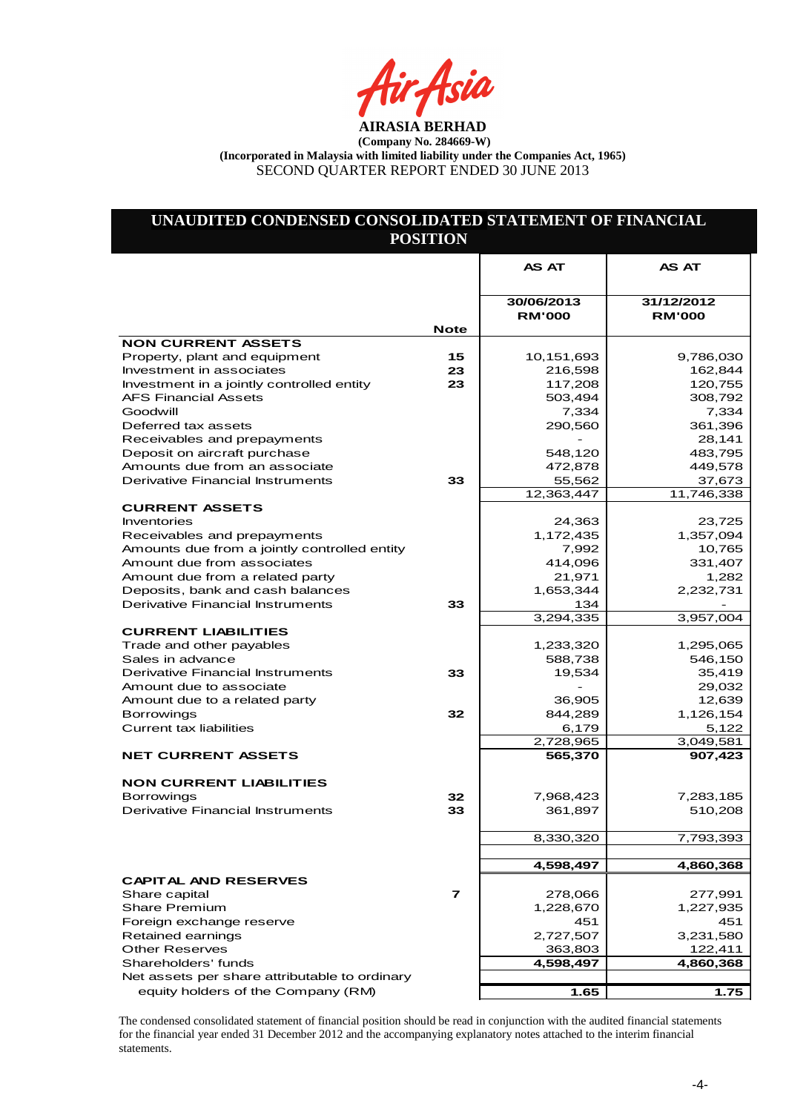Air Asia

# **UNAUDITED CONDENSED CONSOLIDATED STATEMENT OF FINANCIAL POSITION**

|                                                                       |                         | <b>AS AT</b>                | <b>AS AT</b>                |
|-----------------------------------------------------------------------|-------------------------|-----------------------------|-----------------------------|
|                                                                       |                         |                             |                             |
|                                                                       |                         | 30/06/2013<br><b>RM'000</b> | 31/12/2012<br><b>RM'000</b> |
|                                                                       | <b>Note</b>             |                             |                             |
| <b>NON CURRENT ASSETS</b>                                             |                         |                             |                             |
| Property, plant and equipment                                         | 15<br>23                | 10,151,693                  | 9,786,030<br>162,844        |
| Investment in associates<br>Investment in a jointly controlled entity | 23                      | 216,598<br>117,208          | 120,755                     |
| <b>AFS Financial Assets</b>                                           |                         | 503,494                     | 308,792                     |
| Goodwill                                                              |                         | 7,334                       | 7,334                       |
| Deferred tax assets                                                   |                         | 290,560                     | 361,396                     |
| Receivables and prepayments                                           |                         |                             | 28,141                      |
| Deposit on aircraft purchase                                          |                         | 548,120                     | 483,795                     |
| Amounts due from an associate                                         |                         | 472,878                     | 449,578                     |
| <b>Derivative Financial Instruments</b>                               | 33                      | 55,562                      | 37,673                      |
|                                                                       |                         | 12,363,447                  | 11,746,338                  |
| <b>CURRENT ASSETS</b>                                                 |                         |                             |                             |
| Inventories                                                           |                         | 24,363                      | 23,725                      |
| Receivables and prepayments                                           |                         | 1,172,435                   | 1,357,094                   |
| Amounts due from a jointly controlled entity                          |                         | 7,992                       | 10,765                      |
| Amount due from associates                                            |                         | 414,096                     | 331,407                     |
| Amount due from a related party                                       |                         | 21,971                      | 1,282                       |
| Deposits, bank and cash balances                                      |                         | 1,653,344                   | 2,232,731                   |
| Derivative Financial Instruments                                      | 33                      | 134                         |                             |
|                                                                       |                         | 3,294,335                   | 3,957,004                   |
| <b>CURRENT LIABILITIES</b>                                            |                         |                             |                             |
| Trade and other payables                                              |                         | 1,233,320                   | 1,295,065                   |
| Sales in advance                                                      |                         | 588,738                     | 546,150                     |
| <b>Derivative Financial Instruments</b>                               | 33                      | 19,534                      | 35,419                      |
| Amount due to associate                                               |                         |                             | 29,032                      |
| Amount due to a related party                                         |                         | 36,905<br>844,289           | 12,639<br>1,126,154         |
| <b>Borrowings</b><br><b>Current tax liabilities</b>                   | 32                      | 6,179                       | 5,122                       |
|                                                                       |                         | 2,728,965                   | 3,049,581                   |
| <b>NET CURRENT ASSETS</b>                                             |                         | 565,370                     | 907,423                     |
|                                                                       |                         |                             |                             |
| <b>NON CURRENT LIABILITIES</b>                                        |                         |                             |                             |
| <b>Borrowings</b>                                                     | 32                      | 7,968,423                   | 7,283,185                   |
| Derivative Financial Instruments                                      | 33                      | 361,897                     | 510,208                     |
|                                                                       |                         |                             |                             |
|                                                                       |                         | 8,330,320                   | 7,793,393                   |
|                                                                       |                         |                             |                             |
|                                                                       |                         | 4,598,497                   | 4,860,368                   |
| <b>CAPITAL AND RESERVES</b>                                           |                         |                             |                             |
| Share capital                                                         | $\overline{\mathbf{z}}$ | 278,066                     | 277,991                     |
| <b>Share Premium</b>                                                  |                         | 1,228,670                   | 1,227,935                   |
| Foreign exchange reserve                                              |                         | 451                         | 451                         |
| Retained earnings                                                     |                         | 2,727,507                   | 3,231,580                   |
| <b>Other Reserves</b>                                                 |                         | 363,803                     | 122,411                     |
| Shareholders' funds                                                   |                         | 4.598.497                   | 4,860,368                   |
| Net assets per share attributable to ordinary                         |                         |                             |                             |
| equity holders of the Company (RM)                                    |                         | 1.65                        | 1.75                        |

The condensed consolidated statement of financial position should be read in conjunction with the audited financial statements for the financial year ended 31 December 2012 and the accompanying explanatory notes attached to the interim financial statements.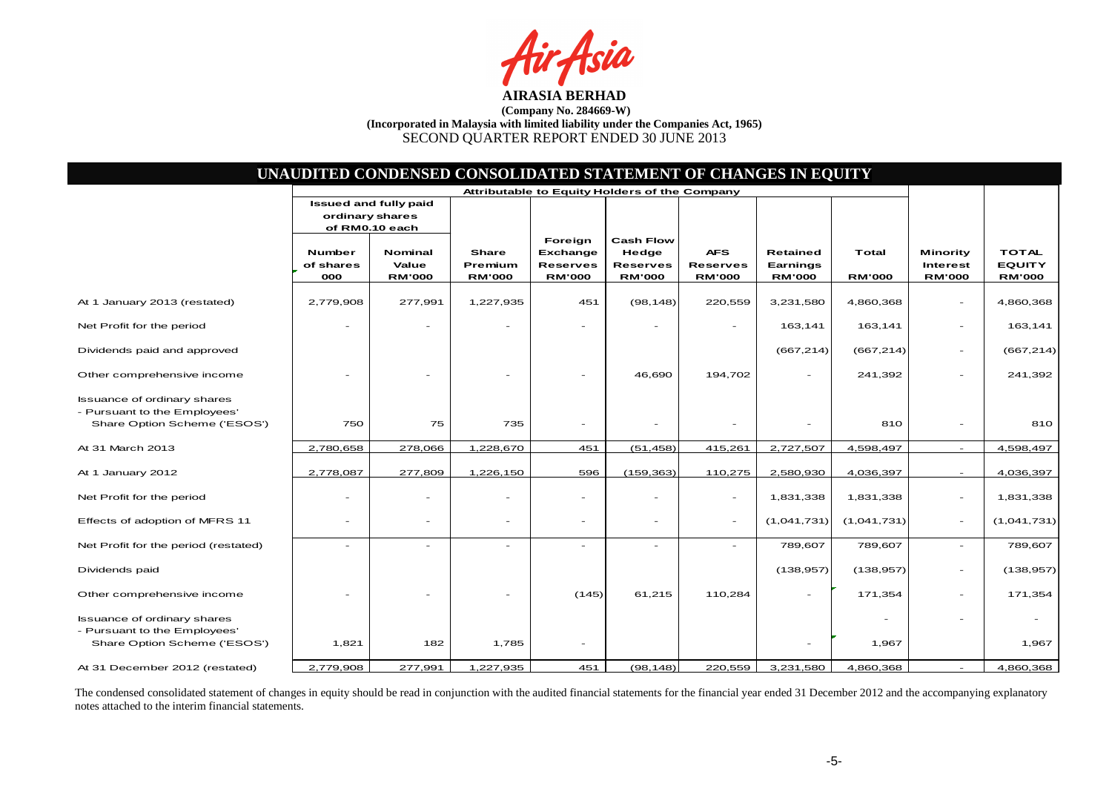fsia

|                                                                                                    |                                   | UNAUDITED CONDENSED CONSOLIDATED STATEMENT OF CHANGES IN EQUITY |                                          |                                                         |                                                               |                                                |                                              |                        |                                              |                                                |
|----------------------------------------------------------------------------------------------------|-----------------------------------|-----------------------------------------------------------------|------------------------------------------|---------------------------------------------------------|---------------------------------------------------------------|------------------------------------------------|----------------------------------------------|------------------------|----------------------------------------------|------------------------------------------------|
|                                                                                                    |                                   |                                                                 |                                          | Attributable to Equity Holders of the Company           |                                                               |                                                |                                              |                        |                                              |                                                |
|                                                                                                    | ordinary shares                   | <b>Issued and fully paid</b><br>of RM0.10 each                  |                                          |                                                         |                                                               |                                                |                                              |                        |                                              |                                                |
|                                                                                                    | <b>Number</b><br>of shares<br>000 | Nominal<br>Value<br><b>RM'000</b>                               | <b>Share</b><br>Premium<br><b>RM'000</b> | Foreign<br>Exchange<br><b>Reserves</b><br><b>RM'000</b> | <b>Cash Flow</b><br>Hedge<br><b>Reserves</b><br><b>RM'000</b> | <b>AFS</b><br><b>Reserves</b><br><b>RM'000</b> | <b>Retained</b><br>Earnings<br><b>RM'000</b> | Total<br><b>RM'000</b> | Minority<br><b>Interest</b><br><b>RM'000</b> | <b>TOTAL</b><br><b>EQUITY</b><br><b>RM'000</b> |
| At 1 January 2013 (restated)                                                                       | 2,779,908                         | 277,991                                                         | 1,227,935                                | 451                                                     | (98, 148)                                                     | 220,559                                        | 3,231,580                                    | 4,860,368              | $\overline{\phantom{a}}$                     | 4,860,368                                      |
| Net Profit for the period                                                                          |                                   |                                                                 |                                          |                                                         |                                                               |                                                | 163,141                                      | 163,141                | $\overline{\phantom{a}}$                     | 163,141                                        |
| Dividends paid and approved                                                                        |                                   |                                                                 |                                          |                                                         |                                                               |                                                | (667, 214)                                   | (667, 214)             | $\overline{\phantom{a}}$                     | (667, 214)                                     |
| Other comprehensive income                                                                         |                                   |                                                                 |                                          |                                                         | 46,690                                                        | 194,702                                        |                                              | 241,392                | $\overline{\phantom{a}}$                     | 241,392                                        |
| <b>Issuance of ordinary shares</b><br>- Pursuant to the Employees'<br>Share Option Scheme ('ESOS') | 750                               | 75                                                              | 735                                      |                                                         |                                                               |                                                |                                              | 810                    |                                              | 810                                            |
| At 31 March 2013                                                                                   | 2,780,658                         | 278,066                                                         | 1,228,670                                | 451                                                     | (51, 458)                                                     | 415,261                                        | 2,727,507                                    | 4,598,497              | $\sim$                                       | 4,598,497                                      |
| At 1 January 2012                                                                                  | 2,778,087                         | 277,809                                                         | 1,226,150                                | 596                                                     | (159, 363)                                                    | 110,275                                        | 2,580,930                                    | 4,036,397              | $\sim$                                       | 4,036,397                                      |
| Net Profit for the period                                                                          |                                   |                                                                 |                                          |                                                         |                                                               | $\overline{\phantom{a}}$                       | 1,831,338                                    | 1,831,338              | $\overline{\phantom{a}}$                     | 1,831,338                                      |
| Effects of adoption of MFRS 11                                                                     | ۰                                 | $\overline{\phantom{a}}$                                        | $\overline{\phantom{a}}$                 | $\overline{\phantom{0}}$                                | $\overline{\phantom{a}}$                                      | $\sim$                                         | (1,041,731)                                  | (1,041,731)            | $\overline{\phantom{a}}$                     | (1,041,731)                                    |
| Net Profit for the period (restated)                                                               |                                   | ÷                                                               |                                          |                                                         | $\sim$                                                        |                                                | 789,607                                      | 789,607                |                                              | 789,607                                        |
| Dividends paid                                                                                     |                                   |                                                                 |                                          |                                                         |                                                               |                                                | (138, 957)                                   | (138, 957)             | $\overline{\phantom{a}}$                     | (138, 957)                                     |
| Other comprehensive income                                                                         |                                   |                                                                 |                                          | (145)                                                   | 61,215                                                        | 110,284                                        |                                              | 171,354                | $\overline{\phantom{a}}$                     | 171,354                                        |
| <b>Issuance of ordinary shares</b><br>- Pursuant to the Employees'<br>Share Option Scheme ('ESOS') | 1,821                             | 182                                                             | 1,785                                    | $\overline{\phantom{a}}$                                |                                                               |                                                |                                              | 1,967                  | $\overline{\phantom{a}}$                     | 1,967                                          |
|                                                                                                    |                                   |                                                                 |                                          |                                                         |                                                               |                                                |                                              |                        |                                              |                                                |
| At 31 December 2012 (restated)                                                                     | 2,779,908                         | 277,991                                                         | 1,227,935                                | 451                                                     | (98, 148)                                                     | 220,559                                        | 3,231,580                                    | 4,860,368              |                                              | 4,860,368                                      |

The condensed consolidated statement of changes in equity should be read in conjunction with the audited financial statements for the financial year ended 31 December 2012 and the accompanying explanatorynotes attached to the interim financial statements.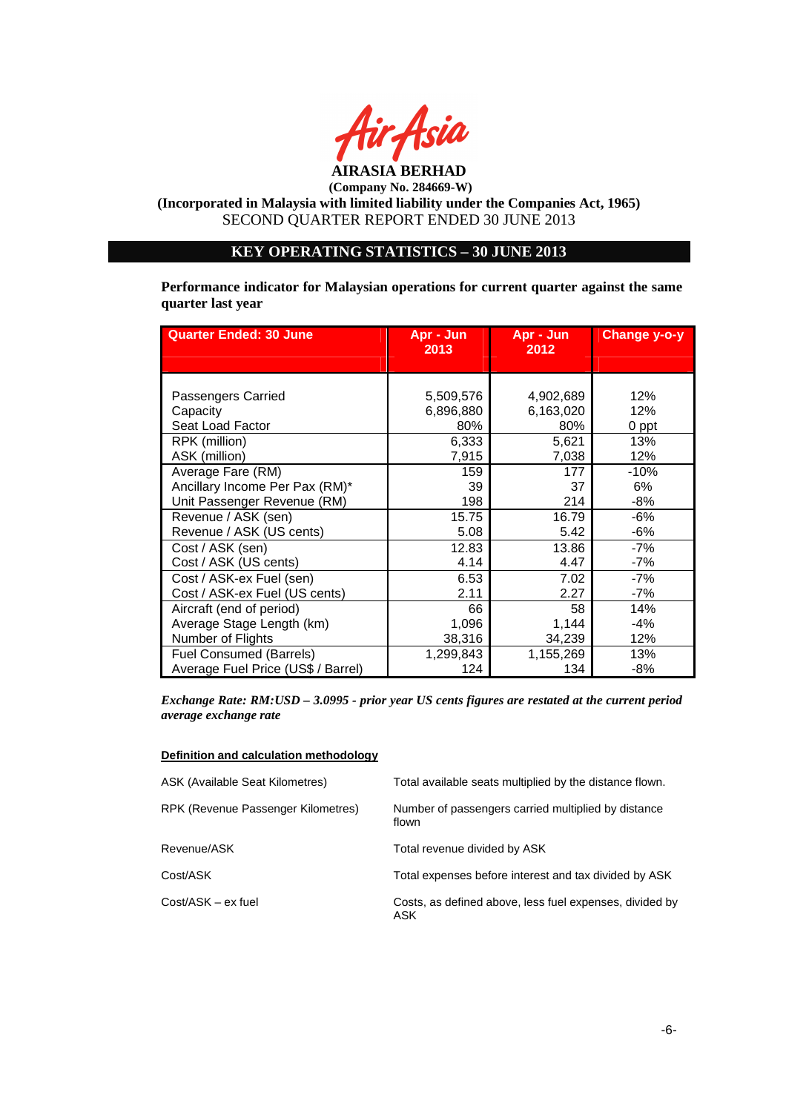

# **KEY OPERATING STATISTICS – 30 JUNE 2013**

**Performance indicator for Malaysian operations for current quarter against the same quarter last year** 

| <b>Quarter Ended: 30 June</b>      | Apr - Jun<br>2013 | Apr - Jun<br>2012 | Change y-o-y |
|------------------------------------|-------------------|-------------------|--------------|
|                                    |                   |                   |              |
|                                    |                   |                   |              |
| Passengers Carried                 | 5,509,576         | 4,902,689         | 12%          |
| Capacity                           | 6,896,880         | 6,163,020         | 12%          |
| Seat Load Factor                   | 80%               | 80%               | 0 ppt        |
| RPK (million)                      | 6,333             | 5,621             | 13%          |
| ASK (million)                      | 7,915             | 7,038             | 12%          |
| Average Fare (RM)                  | 159               | 177               | $-10%$       |
| Ancillary Income Per Pax (RM)*     | 39                | 37                | 6%           |
| Unit Passenger Revenue (RM)        | 198               | 214               | -8%          |
| Revenue / ASK (sen)                | 15.75             | 16.79             | -6%          |
| Revenue / ASK (US cents)           | 5.08              | 5.42              | -6%          |
| Cost / ASK (sen)                   | 12.83             | 13.86             | -7%          |
| Cost / ASK (US cents)              | 4.14              | 4.47              | -7%          |
| Cost / ASK-ex Fuel (sen)           | 6.53              | 7.02              | -7%          |
| Cost / ASK-ex Fuel (US cents)      | 2.11              | 2.27              | -7%          |
| Aircraft (end of period)           | 66                | 58                | 14%          |
| Average Stage Length (km)          | 1,096             | 1,144             | -4%          |
| Number of Flights                  | 38,316            | 34,239            | 12%          |
| <b>Fuel Consumed (Barrels)</b>     | 1,299,843         | 1,155,269         | 13%          |
| Average Fuel Price (US\$ / Barrel) | 124               | 134               | -8%          |

*Exchange Rate: RM:USD – 3.0995 - prior year US cents figures are restated at the current period average exchange rate* 

#### **Definition and calculation methodology**

| ASK (Available Seat Kilometres)    | Total available seats multiplied by the distance flown.        |
|------------------------------------|----------------------------------------------------------------|
| RPK (Revenue Passenger Kilometres) | Number of passengers carried multiplied by distance<br>flown   |
| Revenue/ASK                        | Total revenue divided by ASK                                   |
| Cost/ASK                           | Total expenses before interest and tax divided by ASK          |
| Cost/ASK – ex fuel                 | Costs, as defined above, less fuel expenses, divided by<br>ASK |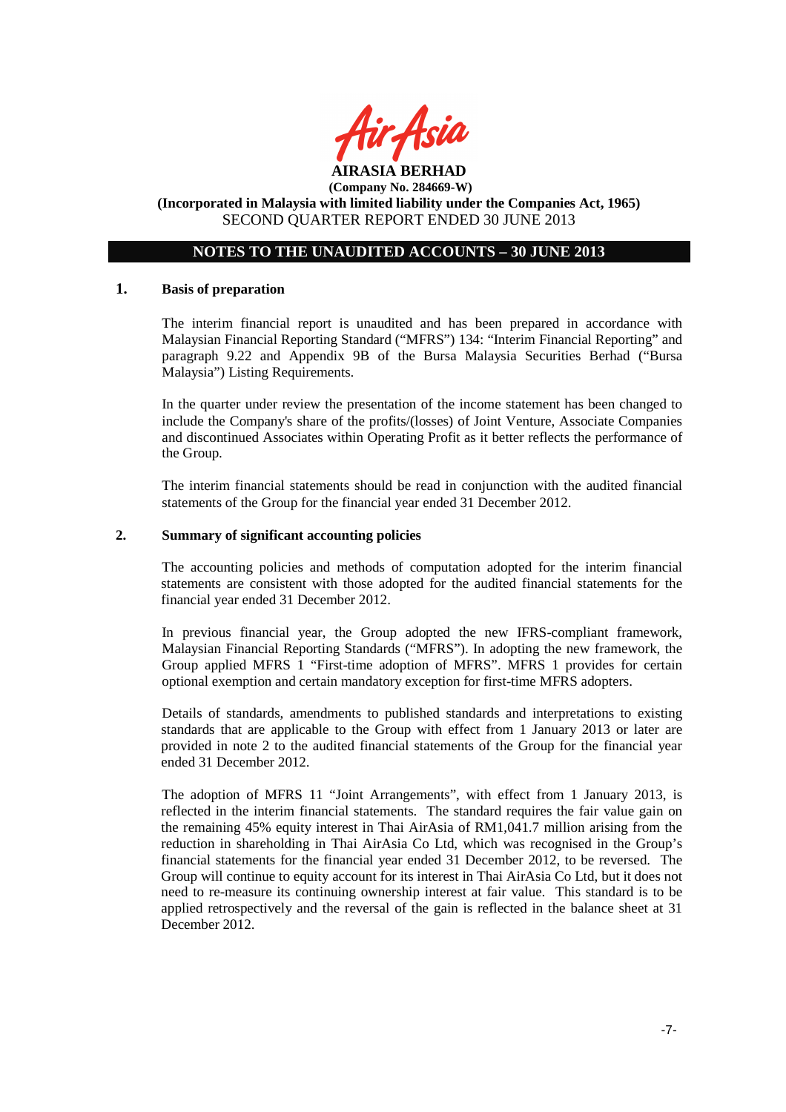

# **NOTES TO THE UNAUDITED ACCOUNTS – 30 JUNE 2013**

#### **1. Basis of preparation**

The interim financial report is unaudited and has been prepared in accordance with Malaysian Financial Reporting Standard ("MFRS") 134: "Interim Financial Reporting" and paragraph 9.22 and Appendix 9B of the Bursa Malaysia Securities Berhad ("Bursa Malaysia") Listing Requirements.

In the quarter under review the presentation of the income statement has been changed to include the Company's share of the profits/(losses) of Joint Venture, Associate Companies and discontinued Associates within Operating Profit as it better reflects the performance of the Group.

The interim financial statements should be read in conjunction with the audited financial statements of the Group for the financial year ended 31 December 2012.

### **2. Summary of significant accounting policies**

The accounting policies and methods of computation adopted for the interim financial statements are consistent with those adopted for the audited financial statements for the financial year ended 31 December 2012.

In previous financial year, the Group adopted the new IFRS-compliant framework, Malaysian Financial Reporting Standards ("MFRS"). In adopting the new framework, the Group applied MFRS 1 "First-time adoption of MFRS". MFRS 1 provides for certain optional exemption and certain mandatory exception for first-time MFRS adopters.

Details of standards, amendments to published standards and interpretations to existing standards that are applicable to the Group with effect from 1 January 2013 or later are provided in note 2 to the audited financial statements of the Group for the financial year ended 31 December 2012.

The adoption of MFRS 11 "Joint Arrangements", with effect from 1 January 2013, is reflected in the interim financial statements. The standard requires the fair value gain on the remaining 45% equity interest in Thai AirAsia of RM1,041.7 million arising from the reduction in shareholding in Thai AirAsia Co Ltd, which was recognised in the Group's financial statements for the financial year ended 31 December 2012, to be reversed. The Group will continue to equity account for its interest in Thai AirAsia Co Ltd, but it does not need to re-measure its continuing ownership interest at fair value. This standard is to be applied retrospectively and the reversal of the gain is reflected in the balance sheet at 31 December 2012.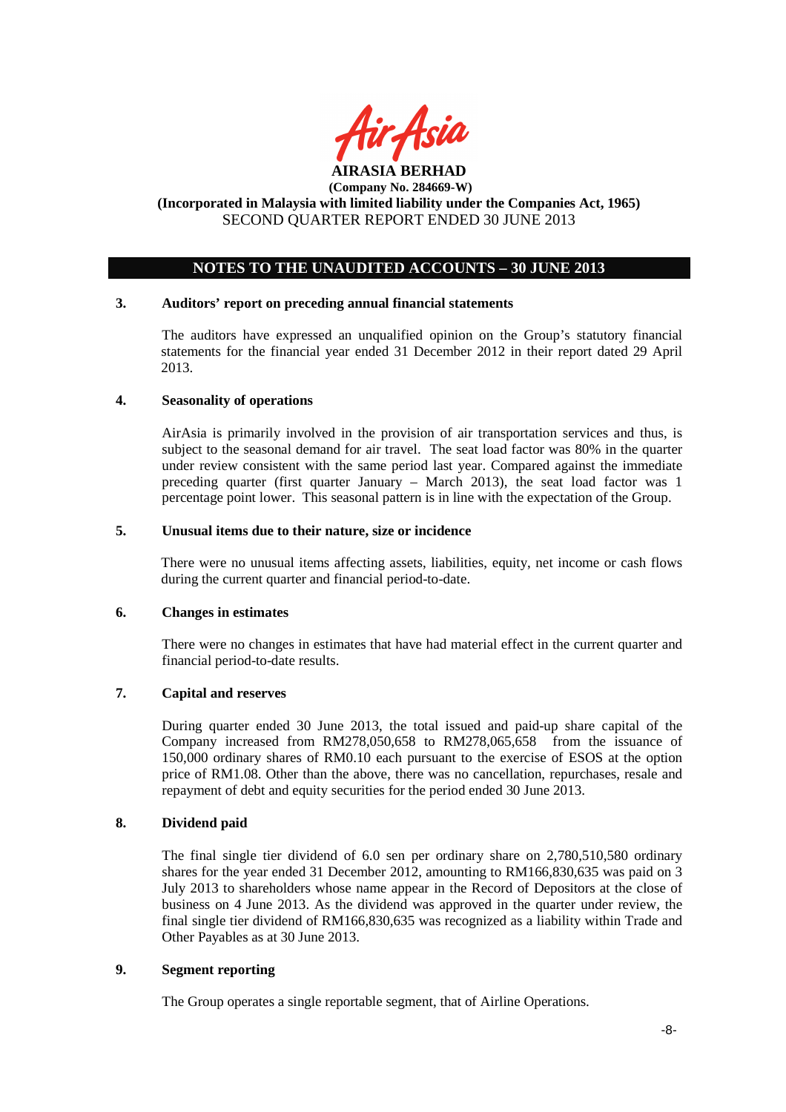

# **NOTES TO THE UNAUDITED ACCOUNTS – 30 JUNE 2013**

#### **3. Auditors' report on preceding annual financial statements**

The auditors have expressed an unqualified opinion on the Group's statutory financial statements for the financial year ended 31 December 2012 in their report dated 29 April 2013.

#### **4. Seasonality of operations**

AirAsia is primarily involved in the provision of air transportation services and thus, is subject to the seasonal demand for air travel. The seat load factor was 80% in the quarter under review consistent with the same period last year. Compared against the immediate preceding quarter (first quarter January – March 2013), the seat load factor was 1 percentage point lower. This seasonal pattern is in line with the expectation of the Group.

#### **5. Unusual items due to their nature, size or incidence**

There were no unusual items affecting assets, liabilities, equity, net income or cash flows during the current quarter and financial period-to-date.

#### **6. Changes in estimates**

There were no changes in estimates that have had material effect in the current quarter and financial period-to-date results.

#### **7. Capital and reserves**

During quarter ended 30 June 2013, the total issued and paid-up share capital of the Company increased from RM278,050,658 to RM278,065,658 from the issuance of 150,000 ordinary shares of RM0.10 each pursuant to the exercise of ESOS at the option price of RM1.08. Other than the above, there was no cancellation, repurchases, resale and repayment of debt and equity securities for the period ended 30 June 2013.

### **8. Dividend paid**

The final single tier dividend of 6.0 sen per ordinary share on 2,780,510,580 ordinary shares for the year ended 31 December 2012, amounting to RM166,830,635 was paid on 3 July 2013 to shareholders whose name appear in the Record of Depositors at the close of business on 4 June 2013. As the dividend was approved in the quarter under review, the final single tier dividend of RM166,830,635 was recognized as a liability within Trade and Other Payables as at 30 June 2013.

### **9. Segment reporting**

The Group operates a single reportable segment, that of Airline Operations.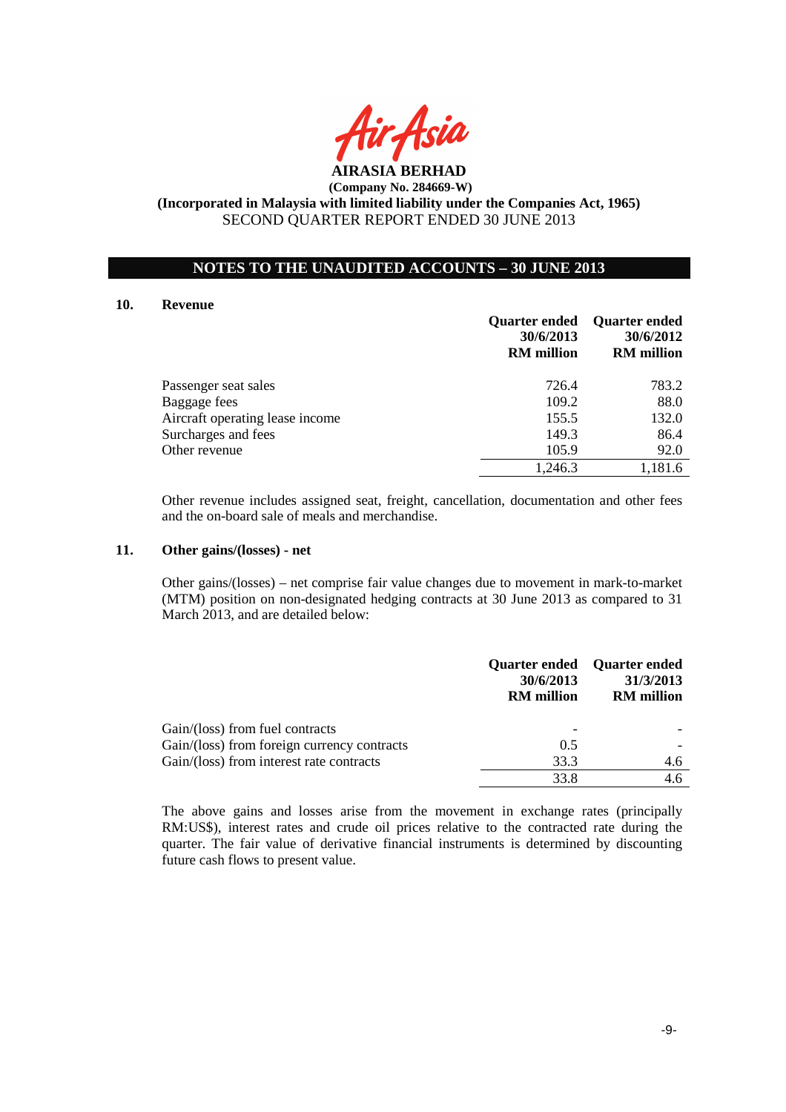

### **NOTES TO THE UNAUDITED ACCOUNTS – 30 JUNE 2013**

#### **10. Revenue**

|                                 | 30/6/2013<br><b>RM</b> million | Quarter ended Quarter ended<br>30/6/2012<br><b>RM</b> million |
|---------------------------------|--------------------------------|---------------------------------------------------------------|
| Passenger seat sales            | 726.4                          | 783.2                                                         |
| Baggage fees                    | 109.2                          | 88.0                                                          |
| Aircraft operating lease income | 155.5                          | 132.0                                                         |
| Surcharges and fees             | 149.3                          | 86.4                                                          |
| Other revenue                   | 105.9                          | 92.0                                                          |
|                                 | 1,246.3                        | 1,181.6                                                       |

Other revenue includes assigned seat, freight, cancellation, documentation and other fees and the on-board sale of meals and merchandise.

#### **11. Other gains/(losses) - net**

 Other gains/(losses) – net comprise fair value changes due to movement in mark-to-market (MTM) position on non-designated hedging contracts at 30 June 2013 as compared to 31 March 2013, and are detailed below:

|                                             | 30/6/2013<br><b>RM</b> million | Quarter ended Quarter ended<br>31/3/2013<br><b>RM</b> million |
|---------------------------------------------|--------------------------------|---------------------------------------------------------------|
| Gain/(loss) from fuel contracts             |                                |                                                               |
| Gain/(loss) from foreign currency contracts | 0.5                            |                                                               |
| Gain/(loss) from interest rate contracts    | 33.3                           | 4.6                                                           |
|                                             | 33.8                           | 4.6                                                           |

The above gains and losses arise from the movement in exchange rates (principally RM:US\$), interest rates and crude oil prices relative to the contracted rate during the quarter. The fair value of derivative financial instruments is determined by discounting future cash flows to present value.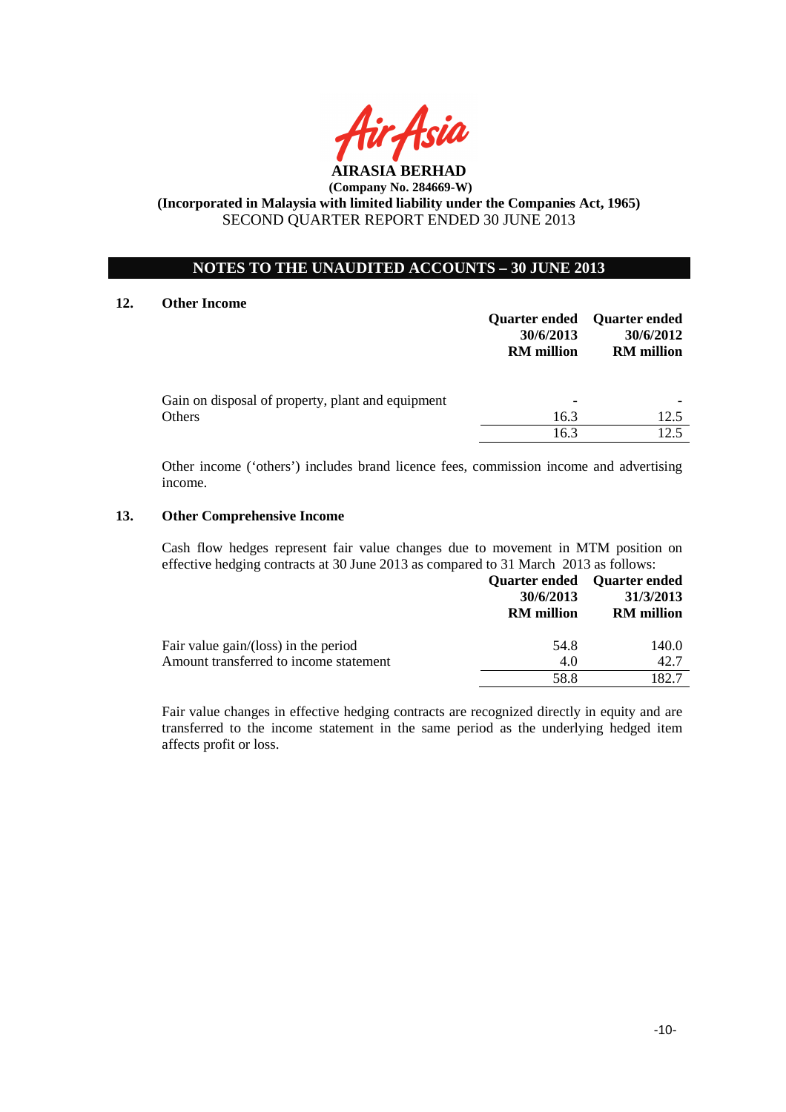

# **NOTES TO THE UNAUDITED ACCOUNTS – 30 JUNE 2013**

### **12. Other Income**

|                                                             | 30/6/2013<br><b>RM</b> million | Quarter ended Quarter ended<br>30/6/2012<br><b>RM</b> million |
|-------------------------------------------------------------|--------------------------------|---------------------------------------------------------------|
| Gain on disposal of property, plant and equipment<br>Others | 16.3                           | 12.5                                                          |
|                                                             | 16.3                           | 12.5                                                          |

Other income ('others') includes brand licence fees, commission income and advertising income.

### **13. Other Comprehensive Income**

Cash flow hedges represent fair value changes due to movement in MTM position on effective hedging contracts at 30 June 2013 as compared to 31 March 2013 as follows:

|                                        | 30/6/2013<br><b>RM</b> million | Quarter ended Quarter ended<br>31/3/2013<br><b>RM</b> million |
|----------------------------------------|--------------------------------|---------------------------------------------------------------|
| Fair value gain/(loss) in the period   | 54.8                           | 140.0                                                         |
| Amount transferred to income statement | 4.0                            | 42.7                                                          |
|                                        | 58.8                           | 182.7                                                         |

Fair value changes in effective hedging contracts are recognized directly in equity and are transferred to the income statement in the same period as the underlying hedged item affects profit or loss.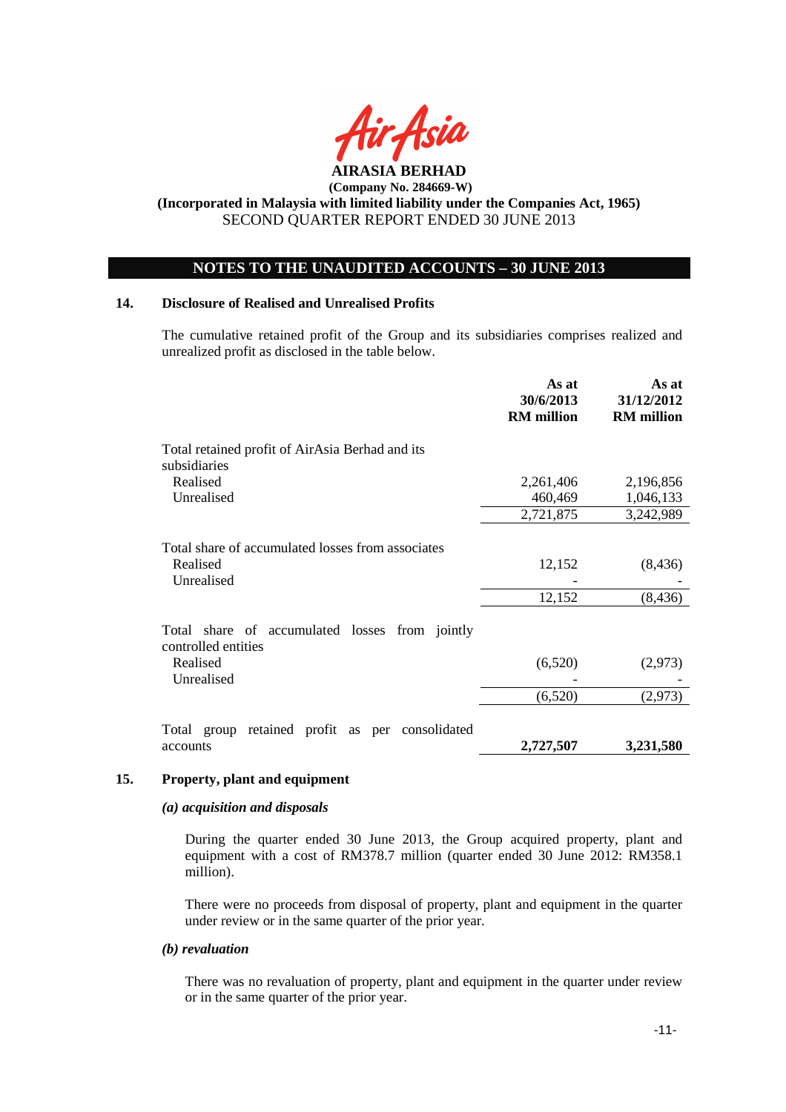

### **NOTES TO THE UNAUDITED ACCOUNTS – 30 JUNE 2013**

#### **14. Disclosure of Realised and Unrealised Profits**

The cumulative retained profit of the Group and its subsidiaries comprises realized and unrealized profit as disclosed in the table below.

|                                                                                   | As at<br>30/6/2013<br><b>RM</b> million | As at<br>31/12/2012<br><b>RM</b> million |
|-----------------------------------------------------------------------------------|-----------------------------------------|------------------------------------------|
| Total retained profit of AirAsia Berhad and its<br>subsidiaries                   |                                         |                                          |
| Realised                                                                          | 2,261,406                               | 2,196,856                                |
| Unrealised                                                                        | 460,469                                 | 1,046,133                                |
|                                                                                   | 2,721,875                               | 3,242,989                                |
| Total share of accumulated losses from associates<br>Realised<br>Unrealised       | 12,152<br>12,152                        | (8, 436)<br>(8, 436)                     |
| Total share of accumulated losses from jointly<br>controlled entities<br>Realised | (6,520)                                 | (2,973)                                  |
| Unrealised                                                                        | (6,520)                                 | (2,973)                                  |
| Total group retained profit as per consolidated<br>accounts                       | 2,727,507                               | 3,231,580                                |

#### **15. Property, plant and equipment**

#### *(a) acquisition and disposals*

During the quarter ended 30 June 2013, the Group acquired property, plant and equipment with a cost of RM378.7 million (quarter ended 30 June 2012: RM358.1 million).

There were no proceeds from disposal of property, plant and equipment in the quarter under review or in the same quarter of the prior year.

#### *(b) revaluation*

There was no revaluation of property, plant and equipment in the quarter under review or in the same quarter of the prior year.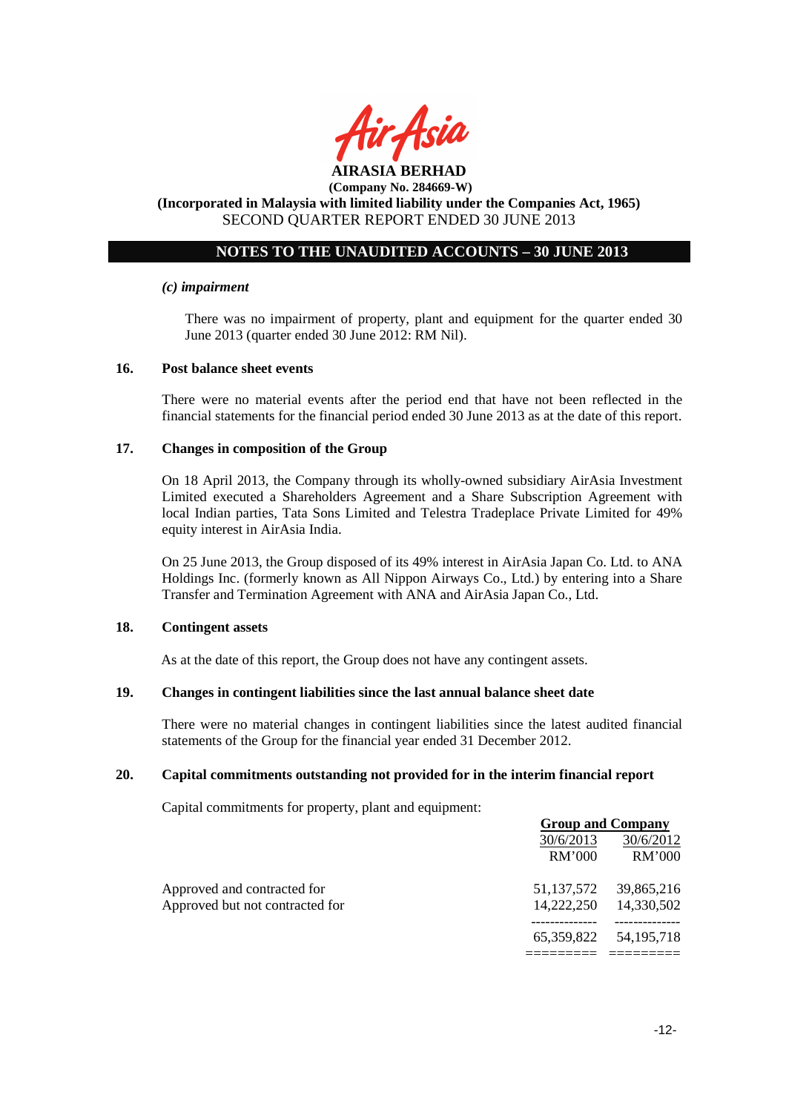

# **NOTES TO THE UNAUDITED ACCOUNTS – 30 JUNE 2013**

#### *(c) impairment*

There was no impairment of property, plant and equipment for the quarter ended 30 June 2013 (quarter ended 30 June 2012: RM Nil).

#### **16. Post balance sheet events**

There were no material events after the period end that have not been reflected in the financial statements for the financial period ended 30 June 2013 as at the date of this report.

#### **17. Changes in composition of the Group**

On 18 April 2013, the Company through its wholly-owned subsidiary AirAsia Investment Limited executed a Shareholders Agreement and a Share Subscription Agreement with local Indian parties, Tata Sons Limited and Telestra Tradeplace Private Limited for 49% equity interest in AirAsia India.

On 25 June 2013, the Group disposed of its 49% interest in AirAsia Japan Co. Ltd. to ANA Holdings Inc. (formerly known as All Nippon Airways Co., Ltd.) by entering into a Share Transfer and Termination Agreement with ANA and AirAsia Japan Co., Ltd.

#### **18. Contingent assets**

As at the date of this report, the Group does not have any contingent assets.

### **19. Changes in contingent liabilities since the last annual balance sheet date**

There were no material changes in contingent liabilities since the latest audited financial statements of the Group for the financial year ended 31 December 2012.

### **20. Capital commitments outstanding not provided for in the interim financial report**

Capital commitments for property, plant and equipment:

|                                 | <b>Group and Company</b> |              |
|---------------------------------|--------------------------|--------------|
|                                 | 30/6/2013                | 30/6/2012    |
|                                 | <b>RM'000</b>            | RM'000       |
| Approved and contracted for     | 51, 137, 572             | 39,865,216   |
| Approved but not contracted for | 14,222,250               | 14,330,502   |
|                                 | 65,359,822               | 54, 195, 718 |
|                                 |                          |              |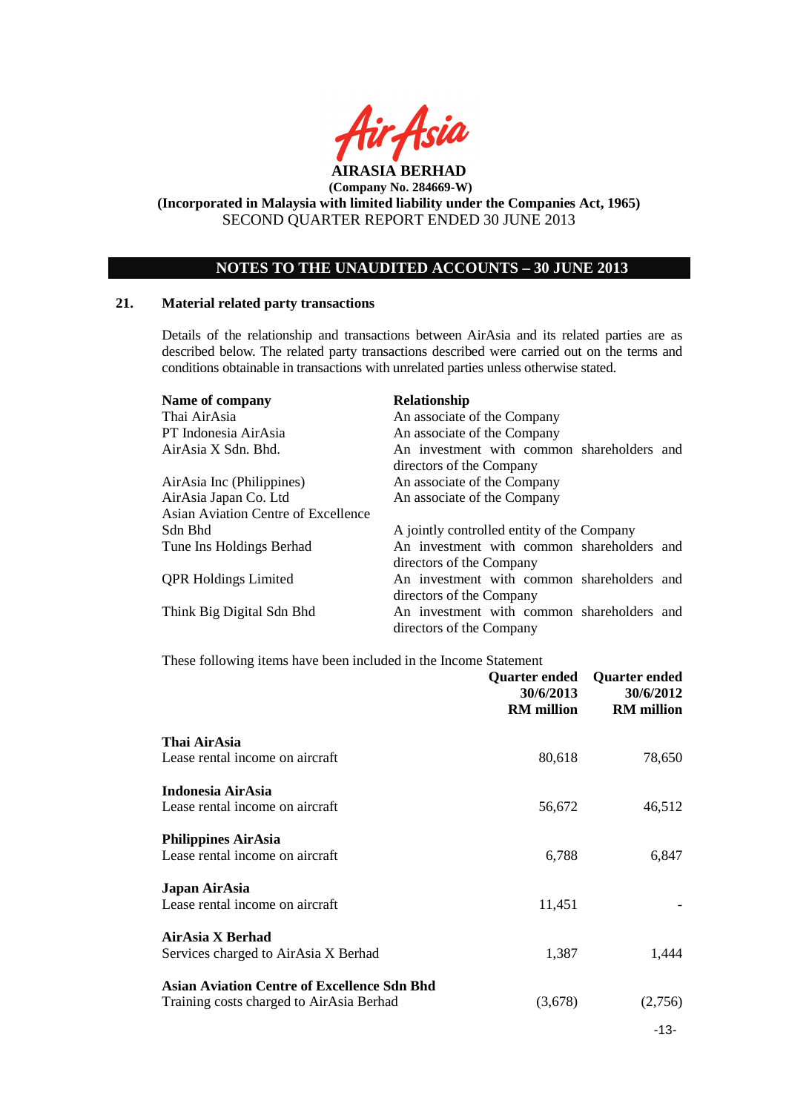

# **NOTES TO THE UNAUDITED ACCOUNTS – 30 JUNE 2013**

#### **21. Material related party transactions**

Details of the relationship and transactions between AirAsia and its related parties are as described below. The related party transactions described were carried out on the terms and conditions obtainable in transactions with unrelated parties unless otherwise stated.

| Name of company                     | <b>Relationship</b>                        |
|-------------------------------------|--------------------------------------------|
| Thai AirAsia                        | An associate of the Company                |
| PT Indonesia AirAsia                | An associate of the Company                |
| AirAsia X Sdn. Bhd.                 | An investment with common shareholders and |
|                                     | directors of the Company                   |
| AirAsia Inc (Philippines)           | An associate of the Company                |
| AirAsia Japan Co. Ltd               | An associate of the Company                |
| Asian Aviation Centre of Excellence |                                            |
| Sdn Bhd                             | A jointly controlled entity of the Company |
| Tune Ins Holdings Berhad            | An investment with common shareholders and |
|                                     | directors of the Company                   |
| <b>QPR Holdings Limited</b>         | An investment with common shareholders and |
|                                     | directors of the Company                   |
| Think Big Digital Sdn Bhd           | An investment with common shareholders and |
|                                     | directors of the Company                   |

These following items have been included in the Income Statement

|                                                                                                | Quarter ended<br>30/6/2013<br><b>RM</b> million | <b>Quarter ended</b><br>30/6/2012<br><b>RM</b> million |
|------------------------------------------------------------------------------------------------|-------------------------------------------------|--------------------------------------------------------|
| Thai AirAsia<br>Lease rental income on aircraft                                                | 80,618                                          | 78,650                                                 |
| <b>Indonesia AirAsia</b><br>Lease rental income on aircraft                                    | 56,672                                          | 46,512                                                 |
| <b>Philippines AirAsia</b><br>Lease rental income on aircraft                                  | 6,788                                           | 6,847                                                  |
| Japan AirAsia<br>Lease rental income on aircraft                                               | 11,451                                          |                                                        |
| AirAsia X Berhad<br>Services charged to AirAsia X Berhad                                       | 1,387                                           | 1,444                                                  |
| <b>Asian Aviation Centre of Excellence Sdn Bhd</b><br>Training costs charged to AirAsia Berhad | (3,678)                                         | (2,756)                                                |

-13-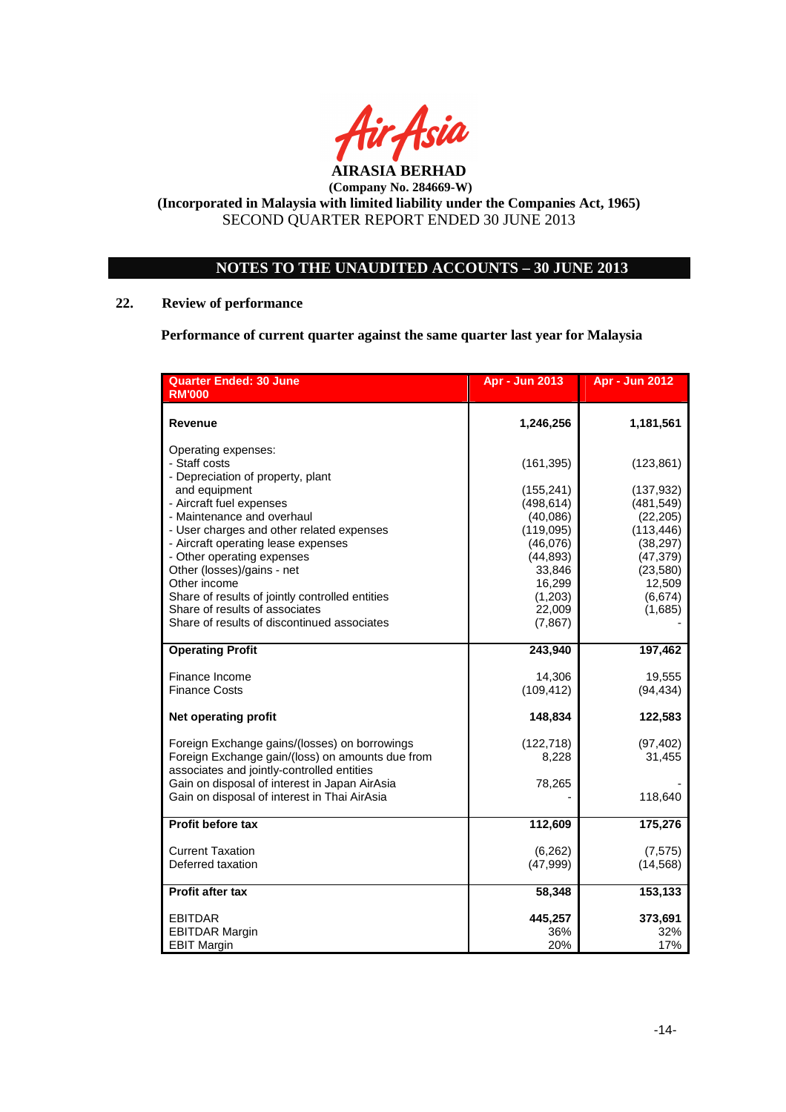

# **NOTES TO THE UNAUDITED ACCOUNTS – 30 JUNE 2013**

# **22. Review of performance**

**Performance of current quarter against the same quarter last year for Malaysia** 

| <b>Quarter Ended: 30 June</b>                                                                 | <b>Apr - Jun 2013</b>  | <b>Apr - Jun 2012</b>   |
|-----------------------------------------------------------------------------------------------|------------------------|-------------------------|
| <b>RM'000</b>                                                                                 |                        |                         |
| Revenue                                                                                       | 1,246,256              | 1,181,561               |
| Operating expenses:                                                                           |                        |                         |
| - Staff costs                                                                                 | (161, 395)             | (123, 861)              |
| - Depreciation of property, plant                                                             |                        |                         |
| and equipment<br>- Aircraft fuel expenses                                                     | (155, 241)             | (137, 932)              |
| - Maintenance and overhaul                                                                    | (498, 614)<br>(40,086) | (481, 549)<br>(22, 205) |
| - User charges and other related expenses                                                     | (119,095)              | (113, 446)              |
| - Aircraft operating lease expenses                                                           | (46,076)               | (38, 297)               |
| - Other operating expenses                                                                    | (44, 893)              | (47, 379)               |
| Other (losses)/gains - net                                                                    | 33,846                 | (23,580)                |
| Other income                                                                                  | 16,299                 | 12,509                  |
| Share of results of jointly controlled entities                                               | (1,203)                | (6,674)                 |
| Share of results of associates                                                                | 22,009                 | (1,685)                 |
| Share of results of discontinued associates                                                   | (7, 867)               |                         |
| <b>Operating Profit</b>                                                                       | 243,940                | 197,462                 |
| Finance Income                                                                                | 14,306                 | 19,555                  |
| <b>Finance Costs</b>                                                                          | (109, 412)             | (94, 434)               |
| <b>Net operating profit</b>                                                                   | 148,834                | 122,583                 |
| Foreign Exchange gains/(losses) on borrowings                                                 | (122, 718)             | (97, 402)               |
| Foreign Exchange gain/(loss) on amounts due from                                              | 8,228                  | 31,455                  |
| associates and jointly-controlled entities                                                    |                        |                         |
| Gain on disposal of interest in Japan AirAsia<br>Gain on disposal of interest in Thai AirAsia | 78,265                 | 118,640                 |
|                                                                                               |                        |                         |
| Profit before tax                                                                             | 112,609                | 175,276                 |
| <b>Current Taxation</b>                                                                       | (6, 262)               | (7, 575)                |
| Deferred taxation                                                                             | (47,999)               | (14, 568)               |
| Profit after tax                                                                              | 58,348                 | 153,133                 |
| <b>EBITDAR</b>                                                                                | 445,257                | 373,691                 |
| <b>EBITDAR Margin</b>                                                                         | 36%                    | 32%                     |
| <b>EBIT Margin</b>                                                                            | 20%                    | 17%                     |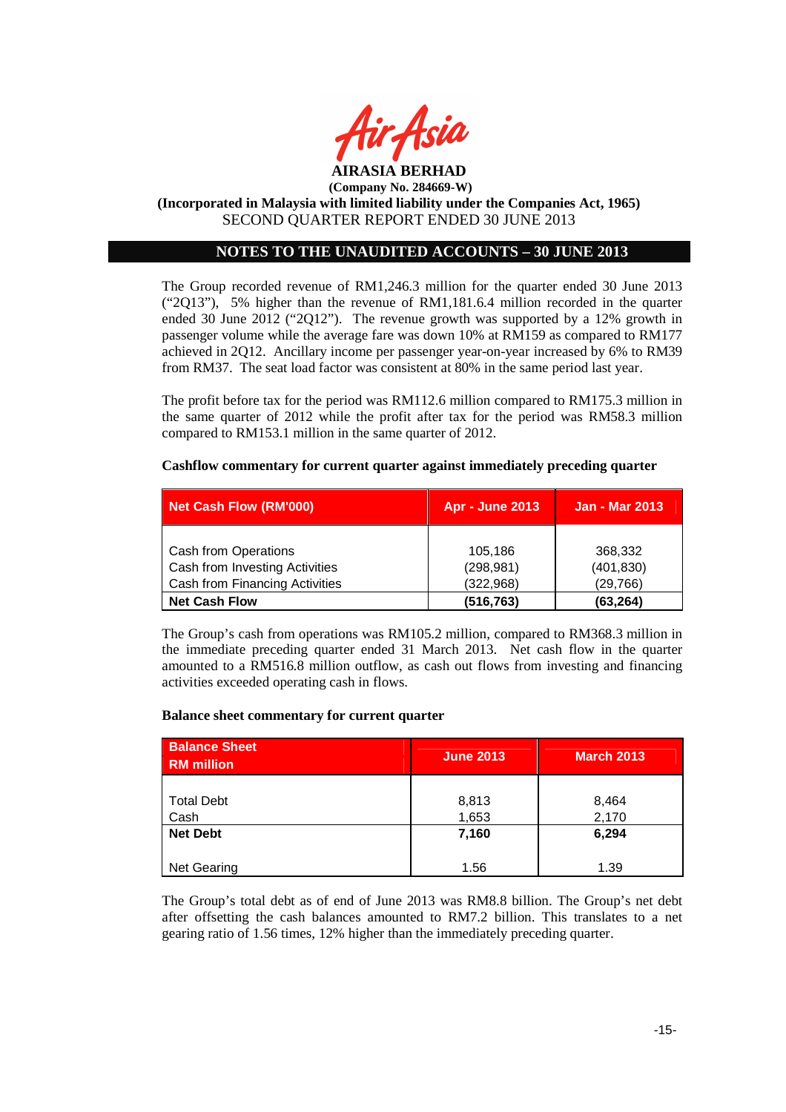

# **NOTES TO THE UNAUDITED ACCOUNTS – 30 JUNE 2013**

The Group recorded revenue of RM1,246.3 million for the quarter ended 30 June 2013 ("2Q13"), 5% higher than the revenue of RM1,181.6.4 million recorded in the quarter ended 30 June 2012 ("2Q12"). The revenue growth was supported by a 12% growth in passenger volume while the average fare was down 10% at RM159 as compared to RM177 achieved in 2Q12. Ancillary income per passenger year-on-year increased by 6% to RM39 from RM37. The seat load factor was consistent at 80% in the same period last year.

The profit before tax for the period was RM112.6 million compared to RM175.3 million in the same quarter of 2012 while the profit after tax for the period was RM58.3 million compared to RM153.1 million in the same quarter of 2012.

### **Cashflow commentary for current quarter against immediately preceding quarter**

| <b>Net Cash Flow (RM'000)</b>         | <b>Apr - June 2013</b> | <b>Jan - Mar 2013</b> |
|---------------------------------------|------------------------|-----------------------|
|                                       |                        |                       |
| <b>Cash from Operations</b>           | 105,186                | 368,332               |
| Cash from Investing Activities        | (298, 981)             | (401, 830)            |
| <b>Cash from Financing Activities</b> | (322, 968)             | (29,766)              |
| <b>Net Cash Flow</b>                  | (516, 763)             | (63, 264)             |

The Group's cash from operations was RM105.2 million, compared to RM368.3 million in the immediate preceding quarter ended 31 March 2013. Net cash flow in the quarter amounted to a RM516.8 million outflow, as cash out flows from investing and financing activities exceeded operating cash in flows.

### **Balance sheet commentary for current quarter**

| <b>Balance Sheet</b><br><b>RM</b> million | <b>June 2013</b> | March 2013 |
|-------------------------------------------|------------------|------------|
|                                           |                  |            |
| <b>Total Debt</b>                         | 8,813            | 8,464      |
| Cash                                      | 1,653            | 2,170      |
| <b>Net Debt</b>                           | 7,160            | 6,294      |
| Net Gearing                               | 1.56             | 1.39       |

The Group's total debt as of end of June 2013 was RM8.8 billion. The Group's net debt after offsetting the cash balances amounted to RM7.2 billion. This translates to a net gearing ratio of 1.56 times, 12% higher than the immediately preceding quarter.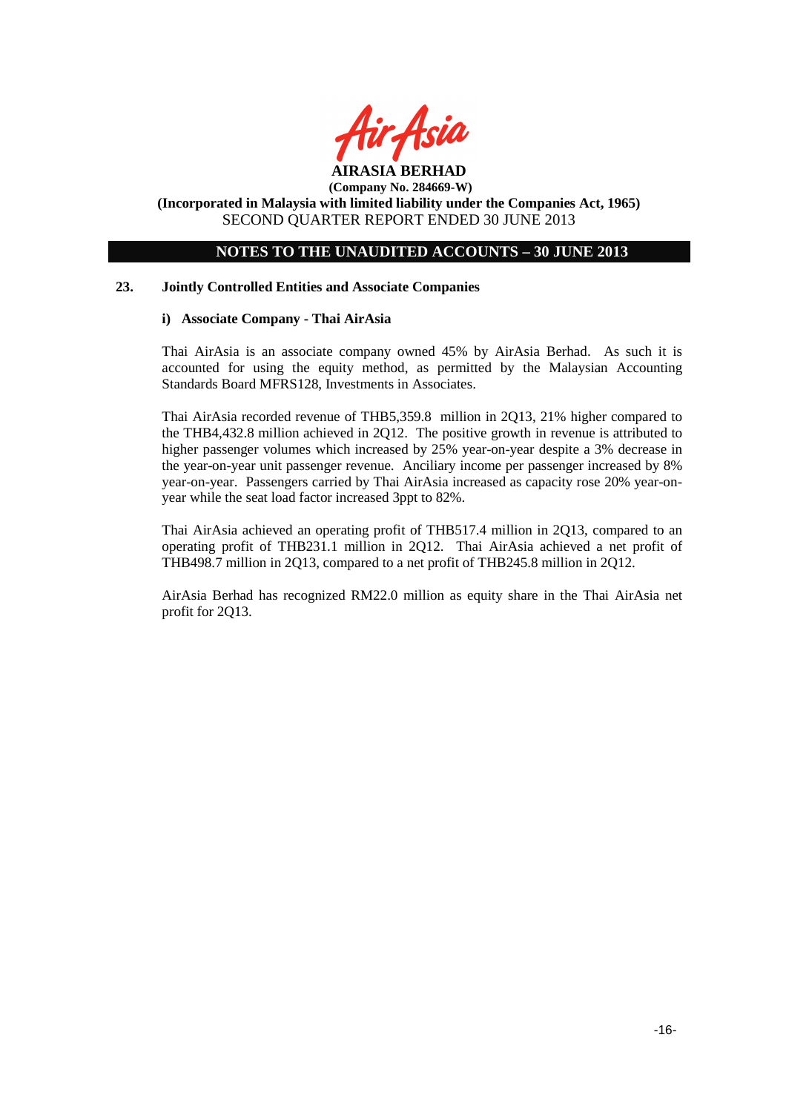

# **NOTES TO THE UNAUDITED ACCOUNTS – 30 JUNE 2013**

### **23. Jointly Controlled Entities and Associate Companies**

### **i) Associate Company - Thai AirAsia**

Thai AirAsia is an associate company owned 45% by AirAsia Berhad. As such it is accounted for using the equity method, as permitted by the Malaysian Accounting Standards Board MFRS128, Investments in Associates.

Thai AirAsia recorded revenue of THB5,359.8 million in 2Q13, 21% higher compared to the THB4,432.8 million achieved in 2Q12. The positive growth in revenue is attributed to higher passenger volumes which increased by 25% year-on-year despite a 3% decrease in the year-on-year unit passenger revenue. Anciliary income per passenger increased by 8% year-on-year. Passengers carried by Thai AirAsia increased as capacity rose 20% year-onyear while the seat load factor increased 3ppt to 82%.

Thai AirAsia achieved an operating profit of THB517.4 million in 2Q13, compared to an operating profit of THB231.1 million in 2Q12. Thai AirAsia achieved a net profit of THB498.7 million in 2Q13, compared to a net profit of THB245.8 million in 2Q12.

AirAsia Berhad has recognized RM22.0 million as equity share in the Thai AirAsia net profit for 2Q13.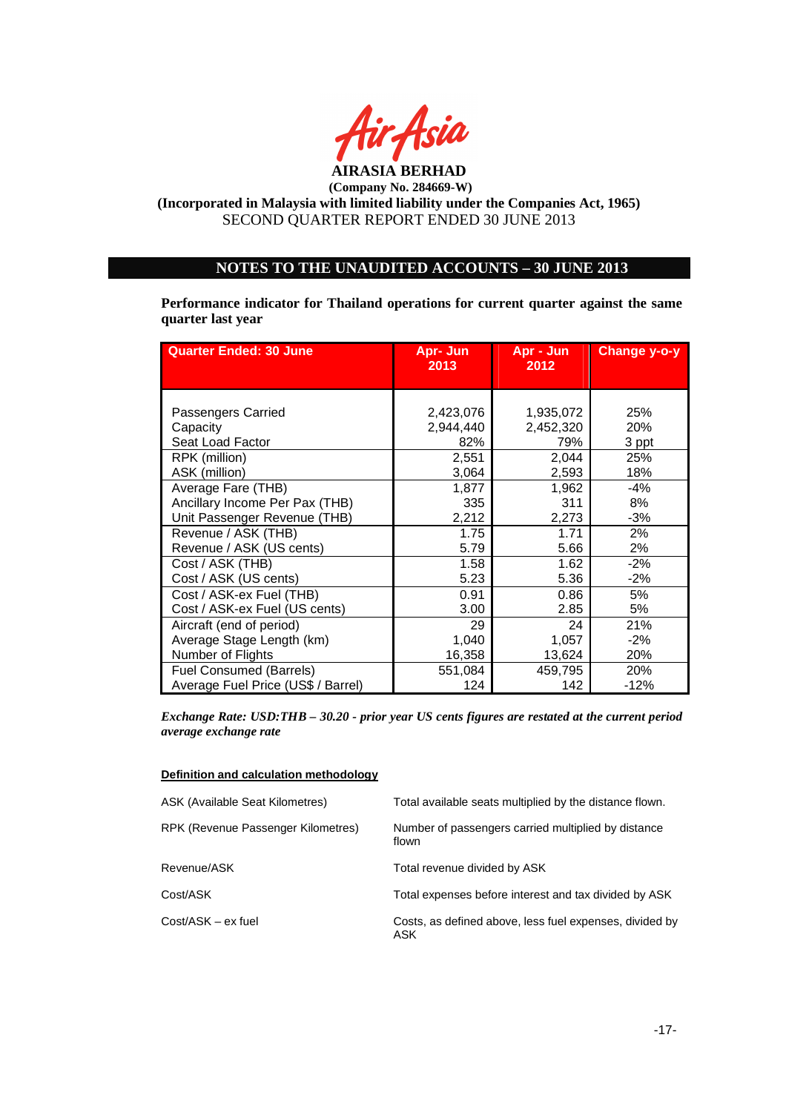

# **NOTES TO THE UNAUDITED ACCOUNTS – 30 JUNE 2013**

**Performance indicator for Thailand operations for current quarter against the same quarter last year** 

| <b>Quarter Ended: 30 June</b>      | Apr- Jun<br>2013 | Apr - Jun<br>2012 | <b>Change y-o-y</b> |
|------------------------------------|------------------|-------------------|---------------------|
|                                    |                  |                   |                     |
|                                    |                  |                   |                     |
| Passengers Carried                 | 2,423,076        | 1,935,072         | 25%                 |
| Capacity                           | 2,944,440        | 2,452,320         | 20%                 |
| Seat Load Factor                   | 82%              | 79%               | 3 ppt               |
| RPK (million)                      | 2,551            | 2,044             | 25%                 |
| ASK (million)                      | 3,064            | 2,593             | 18%                 |
| Average Fare (THB)                 | 1,877            | 1,962             | $-4%$               |
| Ancillary Income Per Pax (THB)     | 335              | 311               | 8%                  |
| Unit Passenger Revenue (THB)       | 2,212            | 2,273             | $-3%$               |
| Revenue / ASK (THB)                | 1.75             | 1.71              | 2%                  |
| Revenue / ASK (US cents)           | 5.79             | 5.66              | 2%                  |
| Cost / ASK (THB)                   | 1.58             | 1.62              | $-2%$               |
| Cost / ASK (US cents)              | 5.23             | 5.36              | $-2%$               |
| Cost / ASK-ex Fuel (THB)           | 0.91             | 0.86              | 5%                  |
| Cost / ASK-ex Fuel (US cents)      | 3.00             | 2.85              | 5%                  |
| Aircraft (end of period)           | 29               | 24                | 21%                 |
| Average Stage Length (km)          | 1,040            | 1,057             | $-2%$               |
| Number of Flights                  | 16,358           | 13,624            | 20%                 |
| <b>Fuel Consumed (Barrels)</b>     | 551,084          | 459,795           | 20%                 |
| Average Fuel Price (US\$ / Barrel) | 124              | 142               | -12%                |

*Exchange Rate: USD:THB – 30.20 - prior year US cents figures are restated at the current period average exchange rate* 

#### **Definition and calculation methodology**

| ASK (Available Seat Kilometres)    | Total available seats multiplied by the distance flown.        |
|------------------------------------|----------------------------------------------------------------|
| RPK (Revenue Passenger Kilometres) | Number of passengers carried multiplied by distance<br>flown   |
| Revenue/ASK                        | Total revenue divided by ASK                                   |
| Cost/ASK                           | Total expenses before interest and tax divided by ASK          |
| Cost/ASK – ex fuel                 | Costs, as defined above, less fuel expenses, divided by<br>ASK |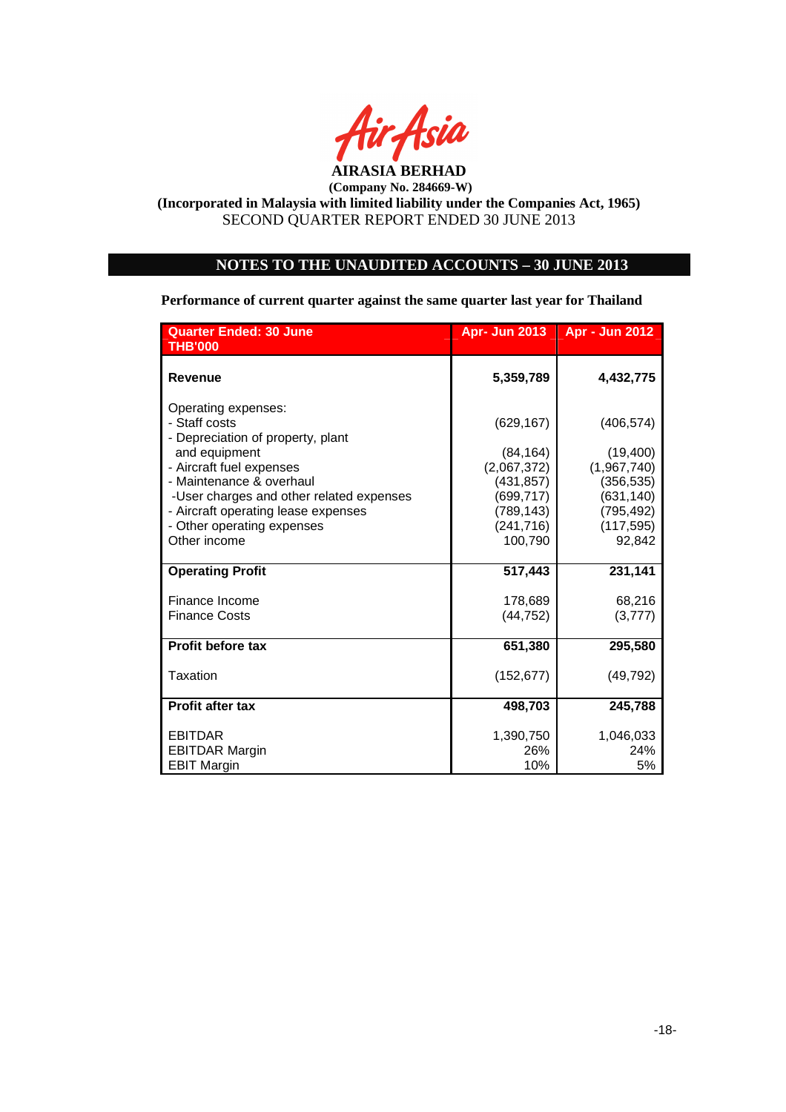

# **NOTES TO THE UNAUDITED ACCOUNTS – 30 JUNE 2013**

**Performance of current quarter against the same quarter last year for Thailand** 

| <b>Quarter Ended: 30 June</b><br><b>THB'000</b>                                                                                                                                                | <b>Apr- Jun 2013</b>                                               | <b>Apr - Jun 2012</b>                                             |
|------------------------------------------------------------------------------------------------------------------------------------------------------------------------------------------------|--------------------------------------------------------------------|-------------------------------------------------------------------|
| <b>Revenue</b>                                                                                                                                                                                 | 5,359,789                                                          | 4,432,775                                                         |
| Operating expenses:<br>- Staff costs<br>- Depreciation of property, plant<br>and equipment<br>- Aircraft fuel expenses<br>- Maintenance & overhaul<br>-User charges and other related expenses | (629, 167)<br>(84, 164)<br>(2,067,372)<br>(431, 857)<br>(699, 717) | (406, 574)<br>(19, 400)<br>(1,967,740)<br>(356,535)<br>(631, 140) |
| - Aircraft operating lease expenses<br>- Other operating expenses<br>Other income                                                                                                              | (789, 143)<br>(241, 716)<br>100,790                                | (795, 492)<br>(117, 595)<br>92,842                                |
| <b>Operating Profit</b>                                                                                                                                                                        | 517,443                                                            | 231,141                                                           |
| Finance Income<br><b>Finance Costs</b>                                                                                                                                                         | 178,689<br>(44, 752)                                               | 68,216<br>(3, 777)                                                |
| <b>Profit before tax</b>                                                                                                                                                                       | 651,380                                                            | 295,580                                                           |
| Taxation                                                                                                                                                                                       | (152, 677)                                                         | (49, 792)                                                         |
| <b>Profit after tax</b>                                                                                                                                                                        | 498,703                                                            | 245,788                                                           |
| <b>EBITDAR</b><br><b>EBITDAR Margin</b><br><b>EBIT Margin</b>                                                                                                                                  | 1,390,750<br>26%<br>10%                                            | 1,046,033<br>24%<br>5%                                            |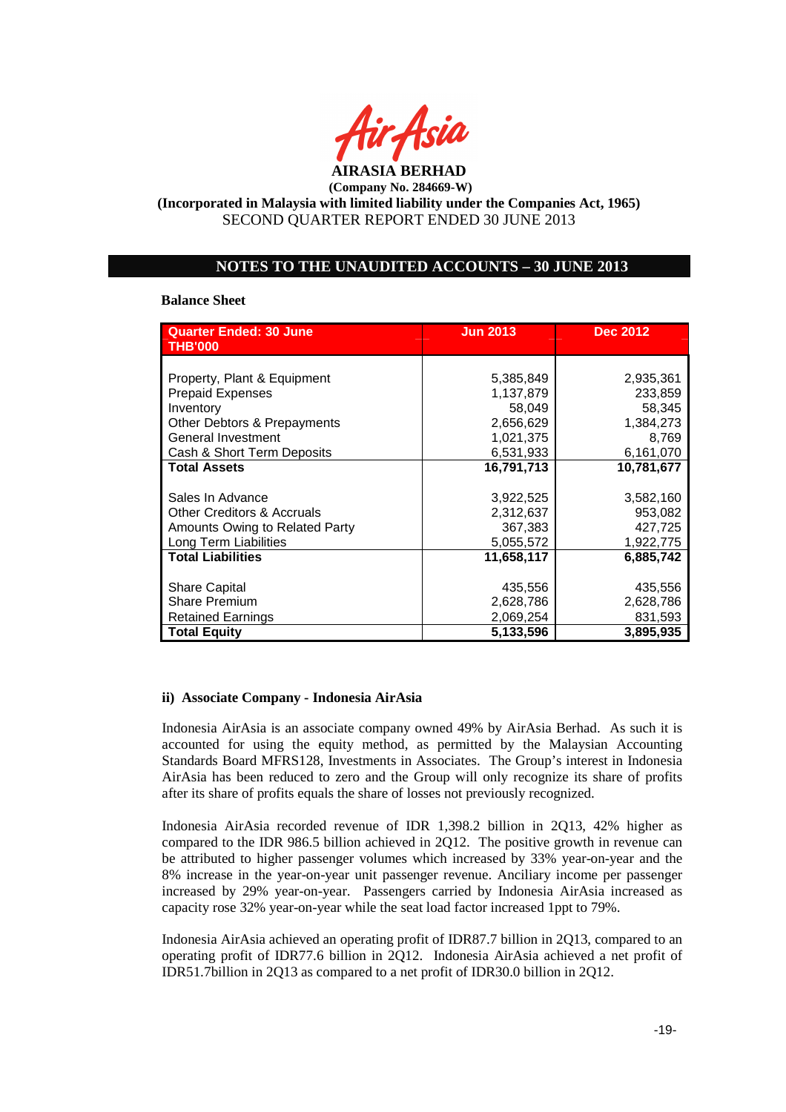

### **NOTES TO THE UNAUDITED ACCOUNTS – 30 JUNE 2013**

#### **Balance Sheet**

| <b>Quarter Ended: 30 June</b><br><b>THB'000</b> | <b>Jun 2013</b> | <b>Dec 2012</b> |
|-------------------------------------------------|-----------------|-----------------|
|                                                 |                 |                 |
| Property, Plant & Equipment                     | 5,385,849       | 2,935,361       |
|                                                 |                 |                 |
| <b>Prepaid Expenses</b>                         | 1,137,879       | 233,859         |
| Inventory                                       | 58,049          | 58,345          |
| Other Debtors & Prepayments                     | 2,656,629       | 1,384,273       |
| General Investment                              | 1,021,375       | 8,769           |
| Cash & Short Term Deposits                      | 6,531,933       | 6,161,070       |
| <b>Total Assets</b>                             | 16,791,713      | 10,781,677      |
|                                                 |                 |                 |
| Sales In Advance                                | 3,922,525       | 3,582,160       |
| <b>Other Creditors &amp; Accruals</b>           | 2,312,637       | 953,082         |
| Amounts Owing to Related Party                  | 367,383         | 427,725         |
| Long Term Liabilities                           | 5,055,572       | 1,922,775       |
| <b>Total Liabilities</b>                        | 11,658,117      | 6,885,742       |
|                                                 |                 |                 |
| <b>Share Capital</b>                            | 435,556         | 435,556         |
| <b>Share Premium</b>                            | 2,628,786       | 2,628,786       |
| <b>Retained Earnings</b>                        | 2,069,254       | 831,593         |
| <b>Total Equity</b>                             | 5,133,596       | 3,895,935       |

#### **ii) Associate Company - Indonesia AirAsia**

Indonesia AirAsia is an associate company owned 49% by AirAsia Berhad. As such it is accounted for using the equity method, as permitted by the Malaysian Accounting Standards Board MFRS128, Investments in Associates. The Group's interest in Indonesia AirAsia has been reduced to zero and the Group will only recognize its share of profits after its share of profits equals the share of losses not previously recognized.

Indonesia AirAsia recorded revenue of IDR 1,398.2 billion in 2Q13, 42% higher as compared to the IDR 986.5 billion achieved in 2Q12. The positive growth in revenue can be attributed to higher passenger volumes which increased by 33% year-on-year and the 8% increase in the year-on-year unit passenger revenue. Anciliary income per passenger increased by 29% year-on-year. Passengers carried by Indonesia AirAsia increased as capacity rose 32% year-on-year while the seat load factor increased 1ppt to 79%.

Indonesia AirAsia achieved an operating profit of IDR87.7 billion in 2Q13, compared to an operating profit of IDR77.6 billion in 2Q12. Indonesia AirAsia achieved a net profit of IDR51.7billion in 2Q13 as compared to a net profit of IDR30.0 billion in 2Q12.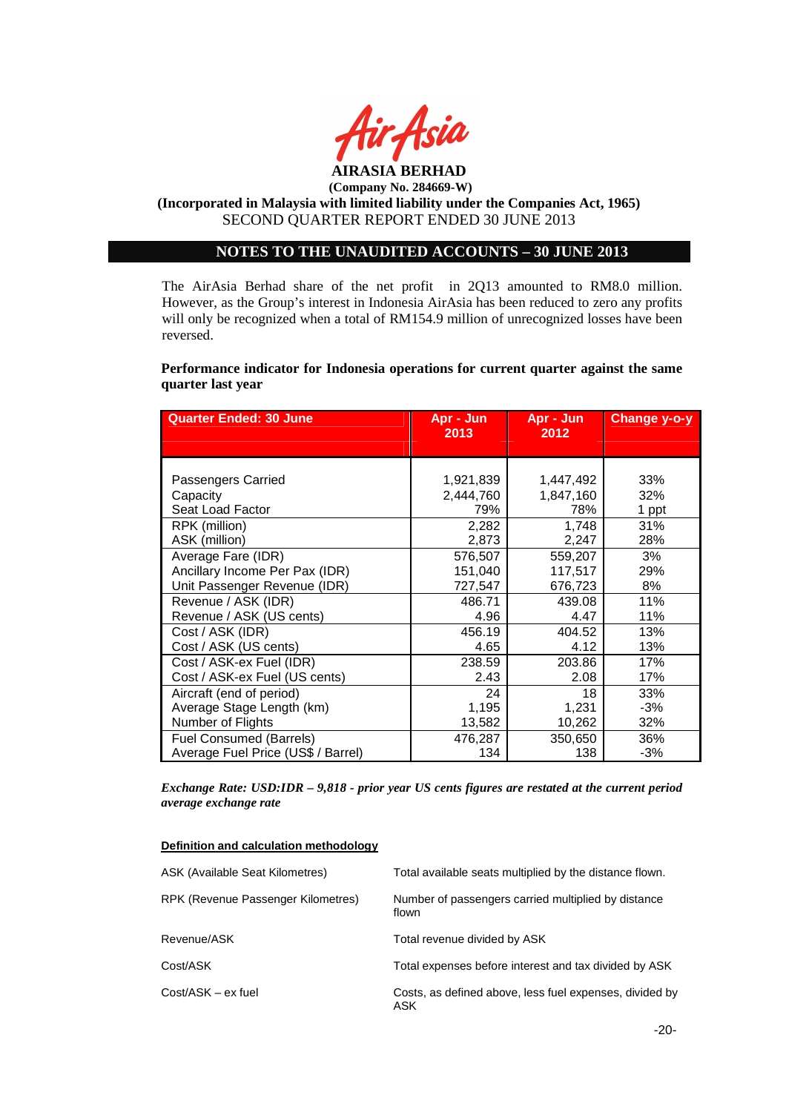

#### **AIRASIA BERHAD (Company No. 284669-W)**

# **(Incorporated in Malaysia with limited liability under the Companies Act, 1965)**  SECOND QUARTER REPORT ENDED 30 JUNE 2013

# **NOTES TO THE UNAUDITED ACCOUNTS – 30 JUNE 2013**

The AirAsia Berhad share of the net profit in 2Q13 amounted to RM8.0 million. However, as the Group's interest in Indonesia AirAsia has been reduced to zero any profits will only be recognized when a total of RM154.9 million of unrecognized losses have been reversed.

### **Performance indicator for Indonesia operations for current quarter against the same quarter last year**

| <b>Quarter Ended: 30 June</b>      | Apr - Jun<br>2013 | Apr - Jun<br>2012 | Change y-o-y |
|------------------------------------|-------------------|-------------------|--------------|
|                                    |                   |                   |              |
|                                    |                   |                   |              |
| Passengers Carried                 | 1,921,839         | 1,447,492         | 33%          |
| Capacity                           | 2,444,760         | 1,847,160         | 32%          |
| Seat Load Factor                   | 79%               | 78%               | 1 ppt        |
| RPK (million)                      | 2,282             | 1,748             | 31%          |
| ASK (million)                      | 2,873             | 2,247             | 28%          |
| Average Fare (IDR)                 | 576,507           | 559,207           | 3%           |
| Ancillary Income Per Pax (IDR)     | 151,040           | 117,517           | 29%          |
| Unit Passenger Revenue (IDR)       | 727,547           | 676,723           | 8%           |
| Revenue / ASK (IDR)                | 486.71            | 439.08            | 11%          |
| Revenue / ASK (US cents)           | 4.96              | 4.47              | 11%          |
| Cost / ASK (IDR)                   | 456.19            | 404.52            | 13%          |
| Cost / ASK (US cents)              | 4.65              | 4.12              | 13%          |
| Cost / ASK-ex Fuel (IDR)           | 238.59            | 203.86            | 17%          |
| Cost / ASK-ex Fuel (US cents)      | 2.43              | 2.08              | 17%          |
| Aircraft (end of period)           | 24                | 18                | 33%          |
| Average Stage Length (km)          | 1,195             | 1,231             | $-3%$        |
| Number of Flights                  | 13,582            | 10,262            | 32%          |
| <b>Fuel Consumed (Barrels)</b>     | 476,287           | 350,650           | 36%          |
| Average Fuel Price (US\$ / Barrel) | 134               | 138               | $-3%$        |

*Exchange Rate: USD:IDR – 9,818 - prior year US cents figures are restated at the current period average exchange rate* 

#### **Definition and calculation methodology**

| ASK (Available Seat Kilometres)    | Total available seats multiplied by the distance flown.        |
|------------------------------------|----------------------------------------------------------------|
| RPK (Revenue Passenger Kilometres) | Number of passengers carried multiplied by distance<br>flown   |
| Revenue/ASK                        | Total revenue divided by ASK                                   |
| Cost/ASK                           | Total expenses before interest and tax divided by ASK          |
| $Cost/ASK - ex$ fuel               | Costs, as defined above, less fuel expenses, divided by<br>ASK |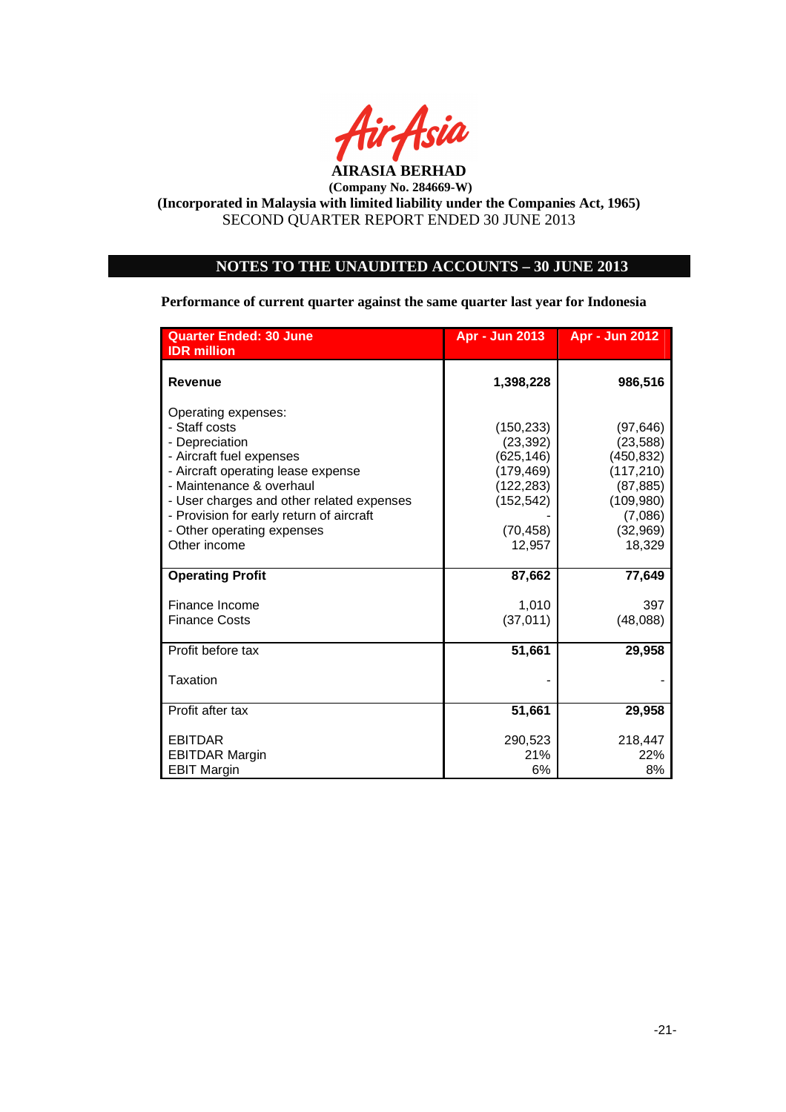

# **NOTES TO THE UNAUDITED ACCOUNTS – 30 JUNE 2013**

**Performance of current quarter against the same quarter last year for Indonesia** 

| <b>Quarter Ended: 30 June</b>                                                                                                                        | Apr - Jun 2013                                                    | <b>Apr - Jun 2012</b>                                           |
|------------------------------------------------------------------------------------------------------------------------------------------------------|-------------------------------------------------------------------|-----------------------------------------------------------------|
| <b>IDR</b> million                                                                                                                                   |                                                                   |                                                                 |
| <b>Revenue</b>                                                                                                                                       | 1,398,228                                                         | 986,516                                                         |
| Operating expenses:<br>- Staff costs<br>- Depreciation<br>- Aircraft fuel expenses<br>- Aircraft operating lease expense<br>- Maintenance & overhaul | (150, 233)<br>(23, 392)<br>(625, 146)<br>(179, 469)<br>(122, 283) | (97, 646)<br>(23, 588)<br>(450, 832)<br>(117, 210)<br>(87, 885) |
| - User charges and other related expenses<br>- Provision for early return of aircraft<br>- Other operating expenses<br>Other income                  | (152, 542)<br>(70, 458)<br>12,957                                 | (109, 980)<br>(7,086)<br>(32,969)<br>18,329                     |
| <b>Operating Profit</b>                                                                                                                              | 87,662                                                            | 77,649                                                          |
| Finance Income<br><b>Finance Costs</b>                                                                                                               | 1,010<br>(37, 011)                                                | 397<br>(48,088)                                                 |
| Profit before tax                                                                                                                                    | 51,661                                                            | 29,958                                                          |
| Taxation                                                                                                                                             |                                                                   |                                                                 |
| Profit after tax                                                                                                                                     | 51,661                                                            | 29,958                                                          |
| <b>EBITDAR</b>                                                                                                                                       | 290,523                                                           | 218,447                                                         |
| <b>EBITDAR Margin</b><br><b>EBIT Margin</b>                                                                                                          | 21%<br>6%                                                         | 22%<br>8%                                                       |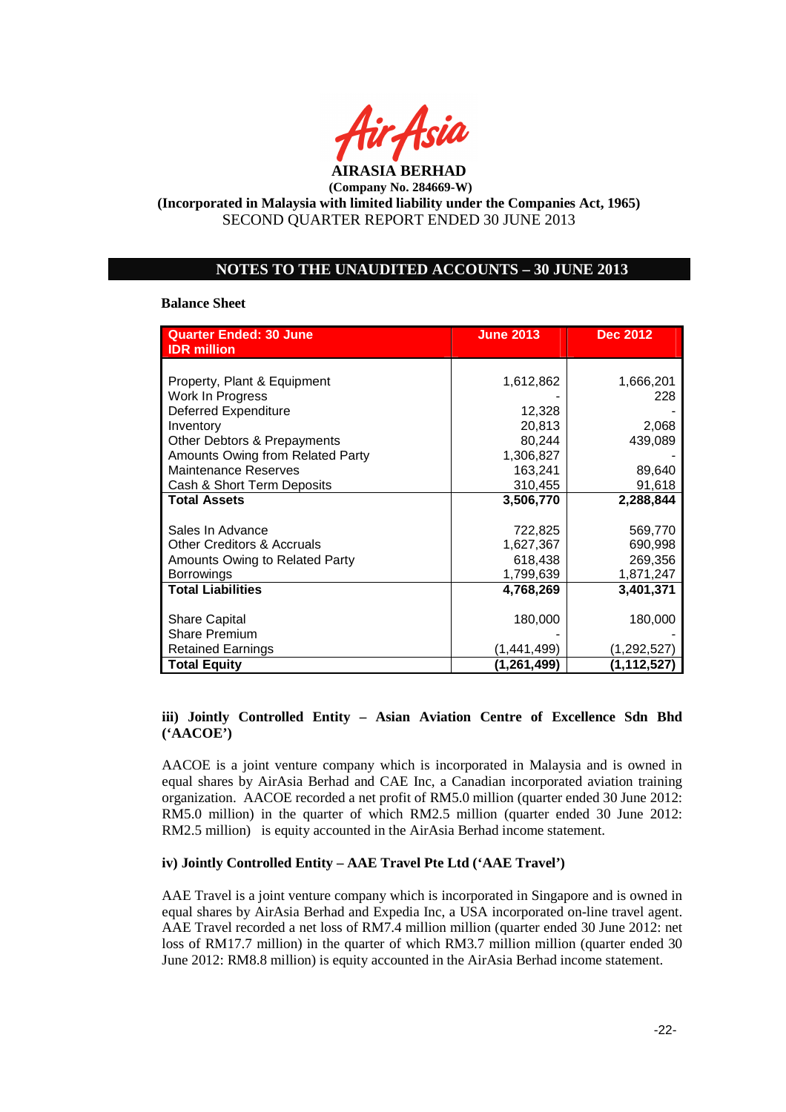

### **NOTES TO THE UNAUDITED ACCOUNTS – 30 JUNE 2013**

#### **Balance Sheet**

| <b>Quarter Ended: 30 June</b><br><b>IDR</b> million | <b>June 2013</b> | <b>Dec 2012</b> |
|-----------------------------------------------------|------------------|-----------------|
|                                                     |                  |                 |
|                                                     |                  |                 |
| Property, Plant & Equipment                         | 1,612,862        | 1,666,201       |
| Work In Progress                                    |                  | 228             |
| <b>Deferred Expenditure</b>                         | 12,328           |                 |
| Inventory                                           | 20,813           | 2,068           |
| Other Debtors & Prepayments                         | 80,244           | 439,089         |
| Amounts Owing from Related Party                    | 1,306,827        |                 |
| <b>Maintenance Reserves</b>                         | 163,241          | 89,640          |
| Cash & Short Term Deposits                          | 310,455          | 91,618          |
| <b>Total Assets</b>                                 | 3,506,770        | 2,288,844       |
|                                                     |                  |                 |
| Sales In Advance                                    | 722,825          | 569,770         |
| <b>Other Creditors &amp; Accruals</b>               | 1,627,367        | 690,998         |
| Amounts Owing to Related Party                      | 618,438          | 269,356         |
| <b>Borrowings</b>                                   | 1,799,639        | 1,871,247       |
| <b>Total Liabilities</b>                            | 4,768,269        | 3,401,371       |
|                                                     |                  |                 |
| <b>Share Capital</b>                                | 180,000          | 180,000         |
| <b>Share Premium</b>                                |                  |                 |
| <b>Retained Earnings</b>                            | (1,441,499)      | (1,292,527)     |
| <b>Total Equity</b>                                 | (1,261,499)      | (1,112,527)     |

### **iii) Jointly Controlled Entity – Asian Aviation Centre of Excellence Sdn Bhd ('AACOE')**

AACOE is a joint venture company which is incorporated in Malaysia and is owned in equal shares by AirAsia Berhad and CAE Inc, a Canadian incorporated aviation training organization. AACOE recorded a net profit of RM5.0 million (quarter ended 30 June 2012: RM5.0 million) in the quarter of which RM2.5 million (quarter ended 30 June 2012: RM2.5 million) is equity accounted in the AirAsia Berhad income statement.

### **iv) Jointly Controlled Entity – AAE Travel Pte Ltd ('AAE Travel')**

AAE Travel is a joint venture company which is incorporated in Singapore and is owned in equal shares by AirAsia Berhad and Expedia Inc, a USA incorporated on-line travel agent. AAE Travel recorded a net loss of RM7.4 million million (quarter ended 30 June 2012: net loss of RM17.7 million) in the quarter of which RM3.7 million million (quarter ended 30 June 2012: RM8.8 million) is equity accounted in the AirAsia Berhad income statement.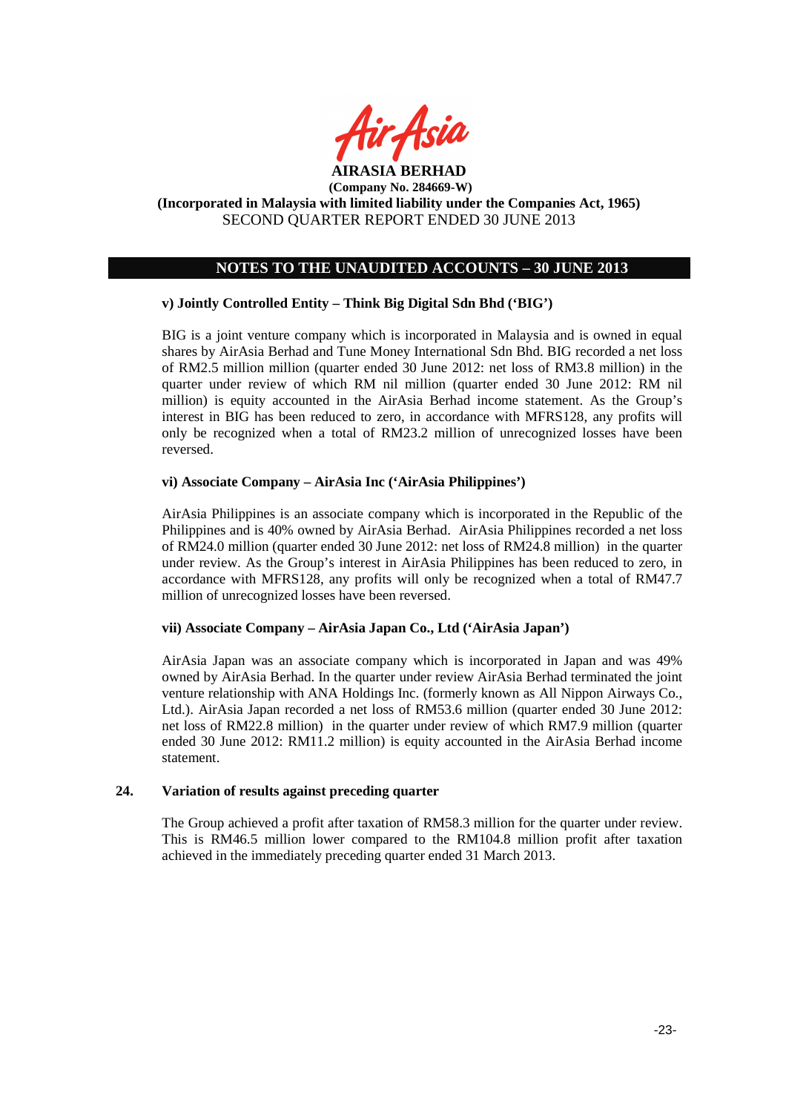

# **NOTES TO THE UNAUDITED ACCOUNTS – 30 JUNE 2013**

### **v) Jointly Controlled Entity – Think Big Digital Sdn Bhd ('BIG')**

BIG is a joint venture company which is incorporated in Malaysia and is owned in equal shares by AirAsia Berhad and Tune Money International Sdn Bhd. BIG recorded a net loss of RM2.5 million million (quarter ended 30 June 2012: net loss of RM3.8 million) in the quarter under review of which RM nil million (quarter ended 30 June 2012: RM nil million) is equity accounted in the AirAsia Berhad income statement. As the Group's interest in BIG has been reduced to zero, in accordance with MFRS128, any profits will only be recognized when a total of RM23.2 million of unrecognized losses have been reversed.

#### **vi) Associate Company – AirAsia Inc ('AirAsia Philippines')**

AirAsia Philippines is an associate company which is incorporated in the Republic of the Philippines and is 40% owned by AirAsia Berhad. AirAsia Philippines recorded a net loss of RM24.0 million (quarter ended 30 June 2012: net loss of RM24.8 million) in the quarter under review. As the Group's interest in AirAsia Philippines has been reduced to zero, in accordance with MFRS128, any profits will only be recognized when a total of RM47.7 million of unrecognized losses have been reversed.

#### **vii) Associate Company – AirAsia Japan Co., Ltd ('AirAsia Japan')**

AirAsia Japan was an associate company which is incorporated in Japan and was 49% owned by AirAsia Berhad. In the quarter under review AirAsia Berhad terminated the joint venture relationship with ANA Holdings Inc. (formerly known as All Nippon Airways Co., Ltd.). AirAsia Japan recorded a net loss of RM53.6 million (quarter ended 30 June 2012: net loss of RM22.8 million) in the quarter under review of which RM7.9 million (quarter ended 30 June 2012: RM11.2 million) is equity accounted in the AirAsia Berhad income statement.

#### **24. Variation of results against preceding quarter**

The Group achieved a profit after taxation of RM58.3 million for the quarter under review. This is RM46.5 million lower compared to the RM104.8 million profit after taxation achieved in the immediately preceding quarter ended 31 March 2013.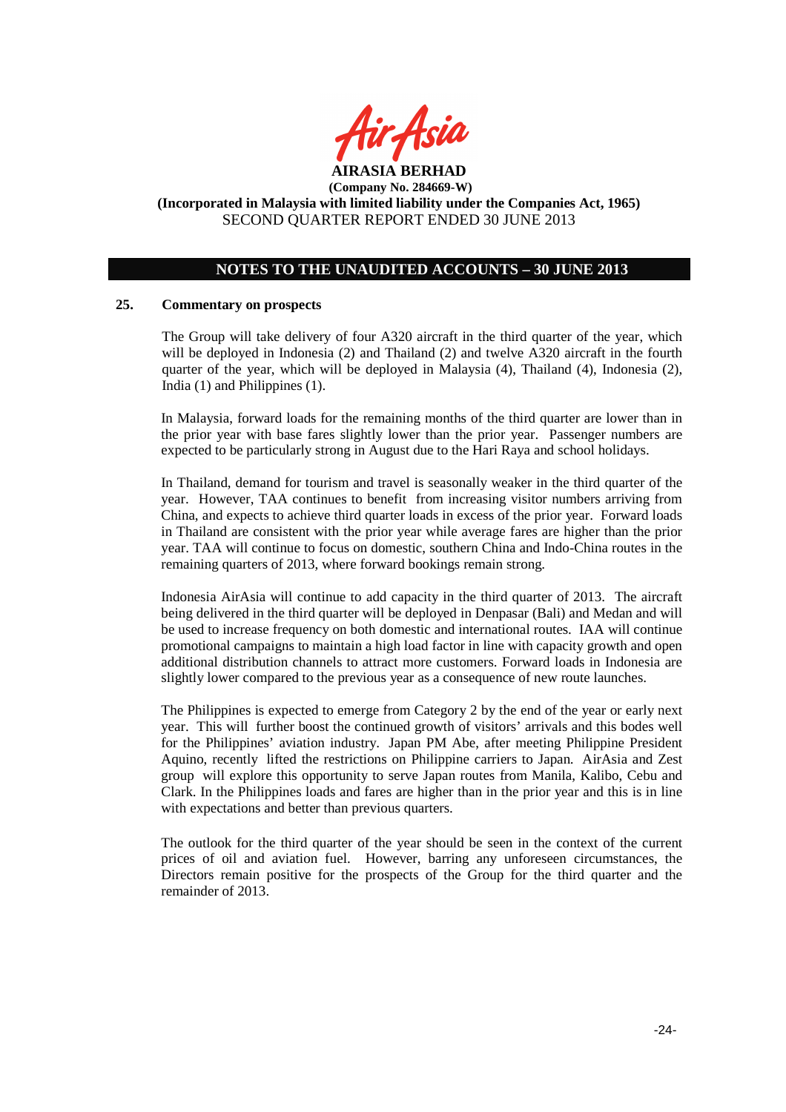

# **NOTES TO THE UNAUDITED ACCOUNTS – 30 JUNE 2013**

#### **25. Commentary on prospects**

The Group will take delivery of four A320 aircraft in the third quarter of the year, which will be deployed in Indonesia (2) and Thailand (2) and twelve A320 aircraft in the fourth quarter of the year, which will be deployed in Malaysia (4), Thailand (4), Indonesia (2), India (1) and Philippines (1).

In Malaysia, forward loads for the remaining months of the third quarter are lower than in the prior year with base fares slightly lower than the prior year. Passenger numbers are expected to be particularly strong in August due to the Hari Raya and school holidays.

In Thailand, demand for tourism and travel is seasonally weaker in the third quarter of the year. However, TAA continues to benefit from increasing visitor numbers arriving from China, and expects to achieve third quarter loads in excess of the prior year. Forward loads in Thailand are consistent with the prior year while average fares are higher than the prior year. TAA will continue to focus on domestic, southern China and Indo-China routes in the remaining quarters of 2013, where forward bookings remain strong.

Indonesia AirAsia will continue to add capacity in the third quarter of 2013. The aircraft being delivered in the third quarter will be deployed in Denpasar (Bali) and Medan and will be used to increase frequency on both domestic and international routes. IAA will continue promotional campaigns to maintain a high load factor in line with capacity growth and open additional distribution channels to attract more customers. Forward loads in Indonesia are slightly lower compared to the previous year as a consequence of new route launches.

The Philippines is expected to emerge from Category 2 by the end of the year or early next year. This will further boost the continued growth of visitors' arrivals and this bodes well for the Philippines' aviation industry. Japan PM Abe, after meeting Philippine President Aquino, recently lifted the restrictions on Philippine carriers to Japan. AirAsia and Zest group will explore this opportunity to serve Japan routes from Manila, Kalibo, Cebu and Clark. In the Philippines loads and fares are higher than in the prior year and this is in line with expectations and better than previous quarters.

The outlook for the third quarter of the year should be seen in the context of the current prices of oil and aviation fuel. However, barring any unforeseen circumstances, the Directors remain positive for the prospects of the Group for the third quarter and the remainder of 2013.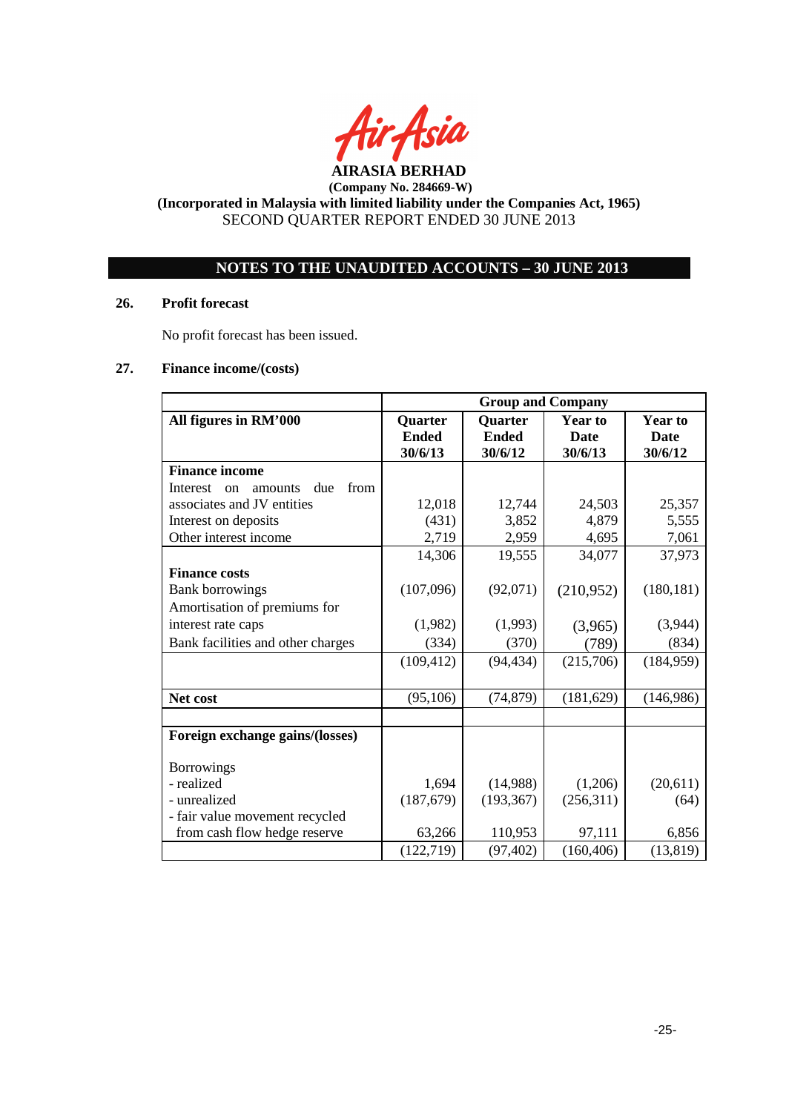

# **NOTES TO THE UNAUDITED ACCOUNTS – 30 JUNE 2013**

# **26. Profit forecast**

No profit forecast has been issued.

# **27. Finance income/(costs)**

|                                          | <b>Group and Company</b>           |                                    |                                          |                                   |
|------------------------------------------|------------------------------------|------------------------------------|------------------------------------------|-----------------------------------|
| All figures in RM'000                    | Quarter<br><b>Ended</b><br>30/6/13 | Quarter<br><b>Ended</b><br>30/6/12 | <b>Year to</b><br><b>Date</b><br>30/6/13 | Year to<br><b>Date</b><br>30/6/12 |
| <b>Finance income</b>                    |                                    |                                    |                                          |                                   |
| from<br>Interest<br>due<br>amounts<br>on |                                    |                                    |                                          |                                   |
| associates and JV entities               | 12,018                             | 12,744                             | 24,503                                   | 25,357                            |
| Interest on deposits                     | (431)                              | 3,852                              | 4,879                                    | 5,555                             |
| Other interest income                    | 2,719                              | 2,959                              | 4,695                                    | 7,061                             |
|                                          | 14,306                             | 19,555                             | 34,077                                   | 37,973                            |
| <b>Finance costs</b>                     |                                    |                                    |                                          |                                   |
| <b>Bank borrowings</b>                   | (107,096)                          | (92,071)                           | (210,952)                                | (180, 181)                        |
| Amortisation of premiums for             |                                    |                                    |                                          |                                   |
| interest rate caps                       | (1,982)                            | (1,993)                            | (3,965)                                  | (3,944)                           |
| Bank facilities and other charges        | (334)                              | (370)                              | (789)                                    | (834)                             |
|                                          | (109, 412)                         | (94, 434)                          | (215,706)                                | (184, 959)                        |
|                                          |                                    |                                    |                                          |                                   |
| Net cost                                 | (95, 106)                          | (74, 879)                          | (181, 629)                               | (146,986)                         |
|                                          |                                    |                                    |                                          |                                   |
| Foreign exchange gains/(losses)          |                                    |                                    |                                          |                                   |
| <b>Borrowings</b>                        |                                    |                                    |                                          |                                   |
| - realized                               | 1,694                              | (14,988)                           | (1,206)                                  | (20,611)                          |
| - unrealized                             | (187, 679)                         | (193, 367)                         | (256,311)                                | (64)                              |
| - fair value movement recycled           |                                    |                                    |                                          |                                   |
| from cash flow hedge reserve             | 63,266                             | 110,953                            | 97,111                                   | 6,856                             |
|                                          | (122, 719)                         | (97, 402)                          | (160, 406)                               | (13, 819)                         |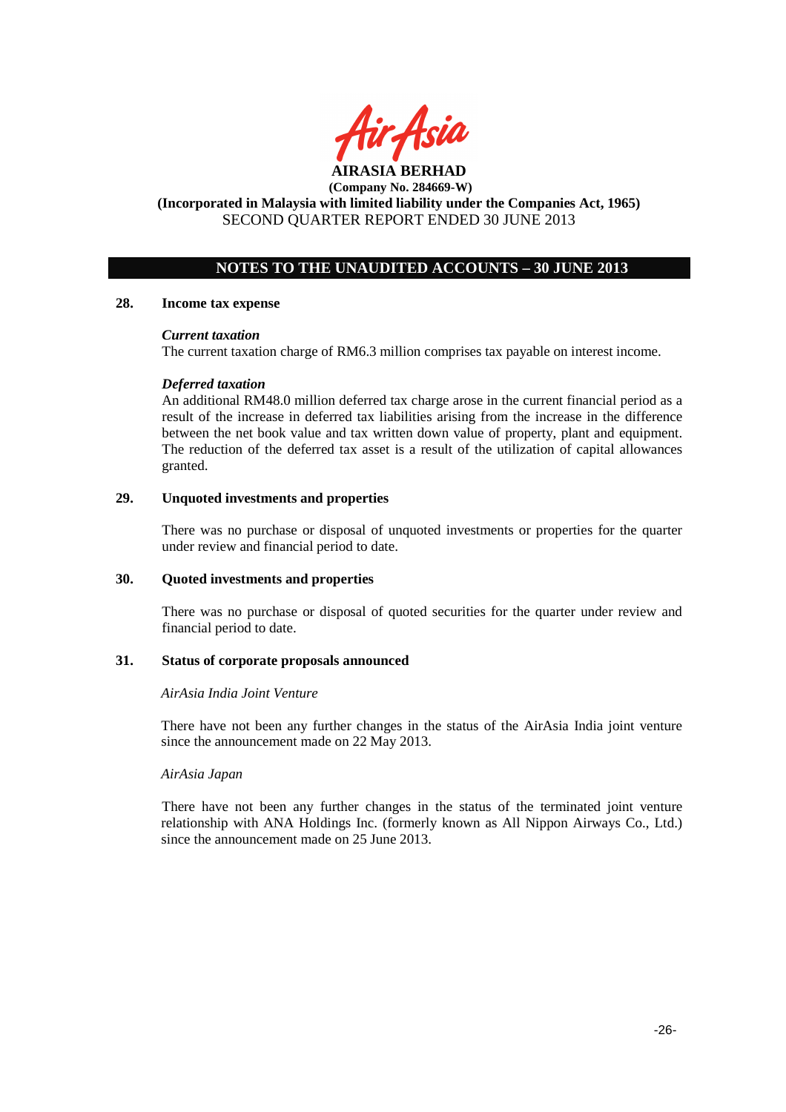

# **NOTES TO THE UNAUDITED ACCOUNTS – 30 JUNE 2013**

### **28. Income tax expense**

#### *Current taxation*

The current taxation charge of RM6.3 million comprises tax payable on interest income.

#### *Deferred taxation*

An additional RM48.0 million deferred tax charge arose in the current financial period as a result of the increase in deferred tax liabilities arising from the increase in the difference between the net book value and tax written down value of property, plant and equipment. The reduction of the deferred tax asset is a result of the utilization of capital allowances granted.

# **29. Unquoted investments and properties**

There was no purchase or disposal of unquoted investments or properties for the quarter under review and financial period to date.

#### **30. Quoted investments and properties**

There was no purchase or disposal of quoted securities for the quarter under review and financial period to date.

#### **31. Status of corporate proposals announced**

#### *AirAsia India Joint Venture*

There have not been any further changes in the status of the AirAsia India joint venture since the announcement made on 22 May 2013.

#### *AirAsia Japan*

There have not been any further changes in the status of the terminated joint venture relationship with ANA Holdings Inc. (formerly known as All Nippon Airways Co., Ltd.) since the announcement made on 25 June 2013.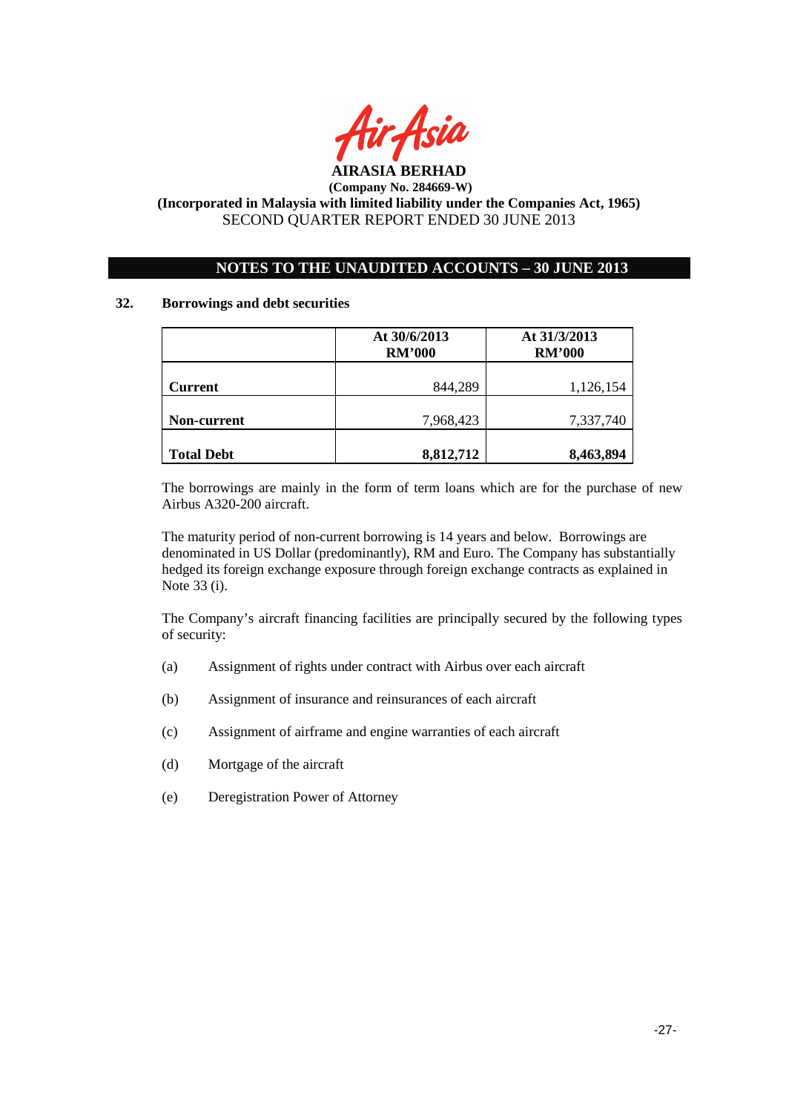

# **NOTES TO THE UNAUDITED ACCOUNTS – 30 JUNE 2013**

### **32. Borrowings and debt securities**

|                    | At 30/6/2013<br><b>RM'000</b> | At 31/3/2013<br><b>RM'000</b> |
|--------------------|-------------------------------|-------------------------------|
| <b>Current</b>     | 844,289                       | 1,126,154                     |
| <b>Non-current</b> | 7,968,423                     | 7,337,740                     |
| <b>Total Debt</b>  | 8,812,712                     | 8,463,894                     |

The borrowings are mainly in the form of term loans which are for the purchase of new Airbus A320-200 aircraft.

The maturity period of non-current borrowing is 14 years and below. Borrowings are denominated in US Dollar (predominantly), RM and Euro. The Company has substantially hedged its foreign exchange exposure through foreign exchange contracts as explained in Note 33 (i).

The Company's aircraft financing facilities are principally secured by the following types of security:

- (a) Assignment of rights under contract with Airbus over each aircraft
- (b) Assignment of insurance and reinsurances of each aircraft
- (c) Assignment of airframe and engine warranties of each aircraft
- (d) Mortgage of the aircraft
- (e) Deregistration Power of Attorney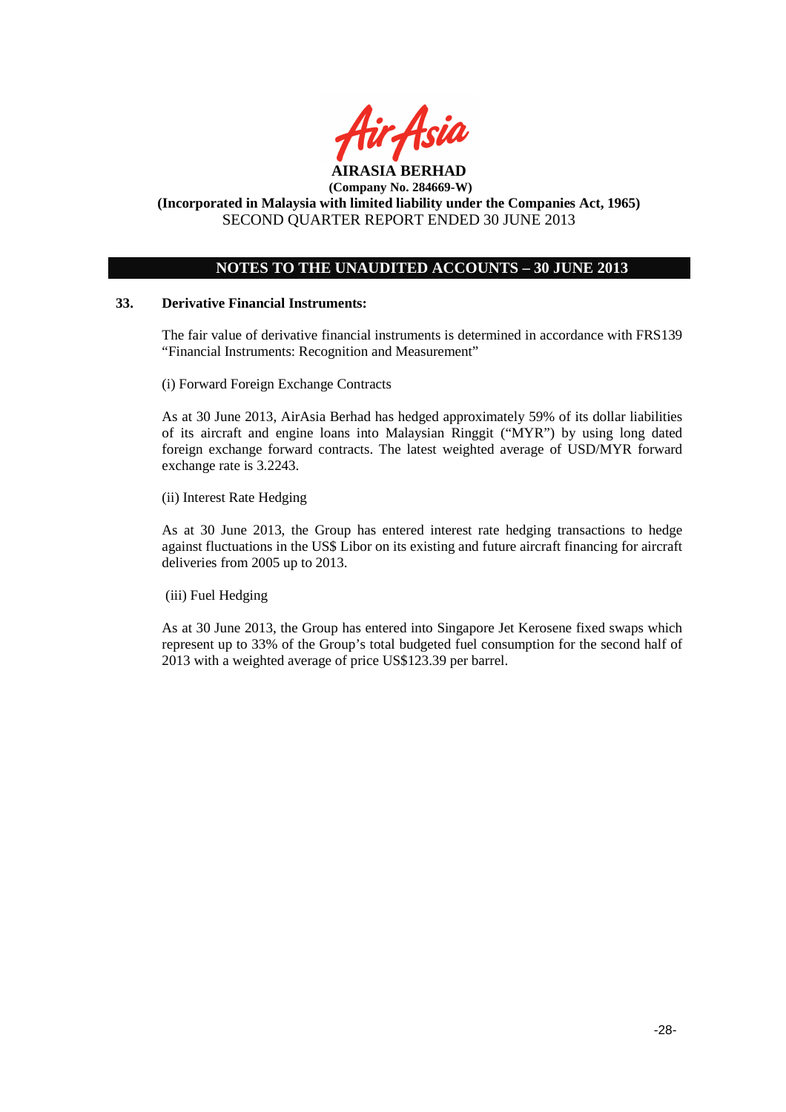

# **NOTES TO THE UNAUDITED ACCOUNTS – 30 JUNE 2013**

### **33. Derivative Financial Instruments:**

The fair value of derivative financial instruments is determined in accordance with FRS139 "Financial Instruments: Recognition and Measurement"

(i) Forward Foreign Exchange Contracts

As at 30 June 2013, AirAsia Berhad has hedged approximately 59% of its dollar liabilities of its aircraft and engine loans into Malaysian Ringgit ("MYR") by using long dated foreign exchange forward contracts. The latest weighted average of USD/MYR forward exchange rate is 3.2243.

(ii) Interest Rate Hedging

As at 30 June 2013, the Group has entered interest rate hedging transactions to hedge against fluctuations in the US\$ Libor on its existing and future aircraft financing for aircraft deliveries from 2005 up to 2013.

(iii) Fuel Hedging

As at 30 June 2013, the Group has entered into Singapore Jet Kerosene fixed swaps which represent up to 33% of the Group's total budgeted fuel consumption for the second half of 2013 with a weighted average of price US\$123.39 per barrel.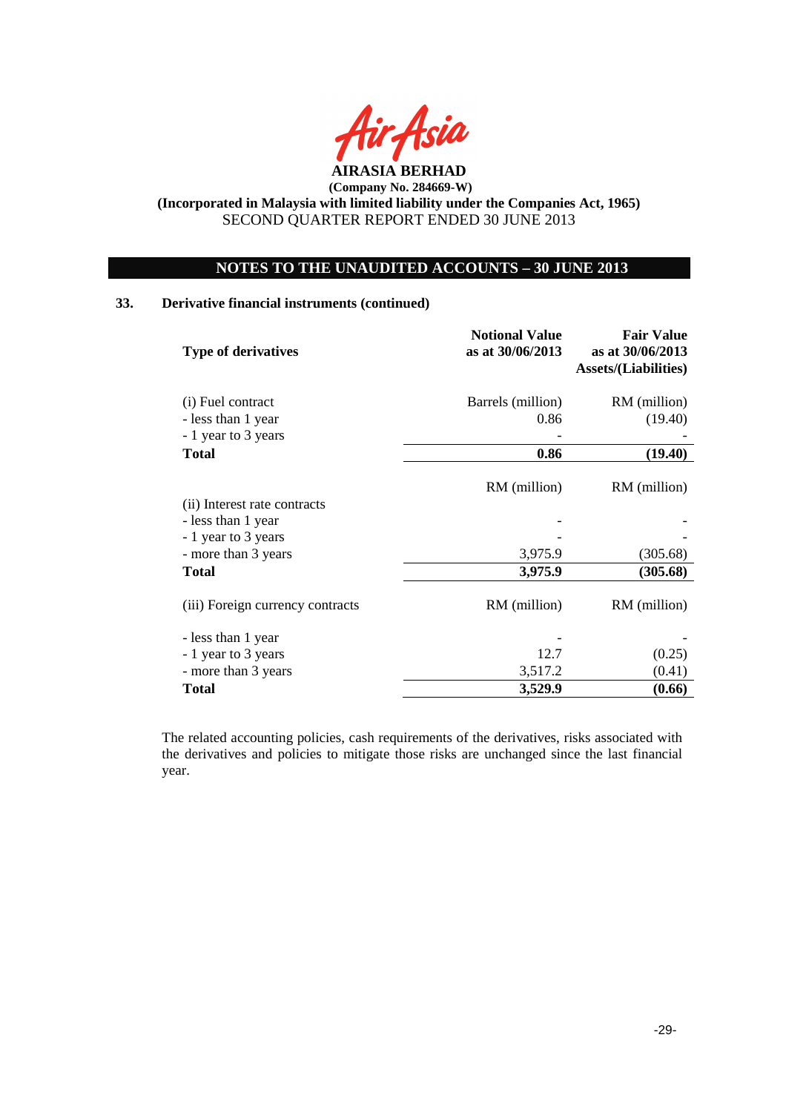

# **NOTES TO THE UNAUDITED ACCOUNTS – 30 JUNE 2013**

# **33. Derivative financial instruments (continued)**

| <b>Type of derivatives</b>                 | <b>Notional Value</b><br>as at 30/06/2013 | <b>Fair Value</b><br>as at 30/06/2013<br><b>Assets/(Liabilities)</b> |
|--------------------------------------------|-------------------------------------------|----------------------------------------------------------------------|
| (i) Fuel contract                          | Barrels (million)                         | RM (million)                                                         |
| - less than 1 year<br>- 1 year to 3 years  | 0.86                                      | (19.40)                                                              |
| <b>Total</b>                               | 0.86                                      | (19.40)                                                              |
|                                            | RM (million)                              | RM (million)                                                         |
| (ii) Interest rate contracts               |                                           |                                                                      |
| - less than 1 year                         |                                           |                                                                      |
| - 1 year to 3 years<br>- more than 3 years | 3,975.9                                   | (305.68)                                                             |
| <b>Total</b>                               | 3,975.9                                   | (305.68)                                                             |
| (iii) Foreign currency contracts           | RM (million)                              | RM (million)                                                         |
| - less than 1 year                         |                                           |                                                                      |
| - 1 year to 3 years                        | 12.7                                      | (0.25)                                                               |
| - more than 3 years                        | 3,517.2                                   | (0.41)                                                               |
| <b>Total</b>                               | 3,529.9                                   | (0.66)                                                               |

The related accounting policies, cash requirements of the derivatives, risks associated with the derivatives and policies to mitigate those risks are unchanged since the last financial year.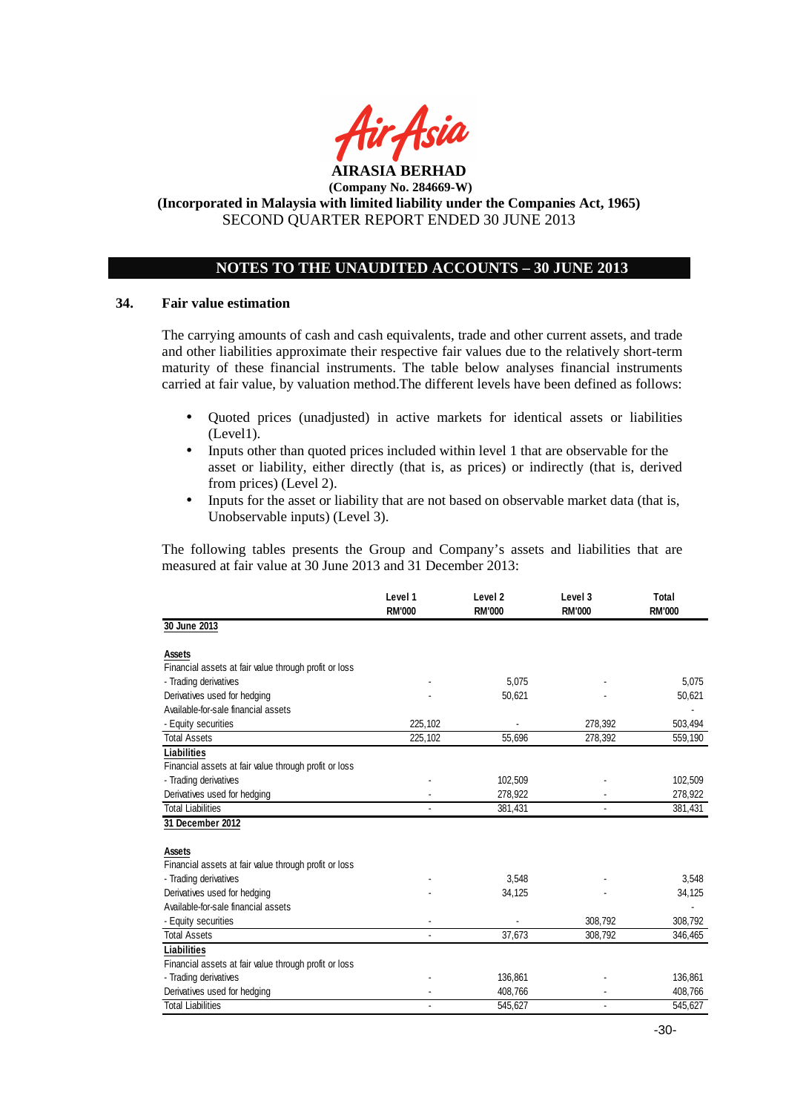

# **NOTES TO THE UNAUDITED ACCOUNTS – 30 JUNE 2013**

#### **34. Fair value estimation**

The carrying amounts of cash and cash equivalents, trade and other current assets, and trade and other liabilities approximate their respective fair values due to the relatively short-term maturity of these financial instruments. The table below analyses financial instruments carried at fair value, by valuation method.The different levels have been defined as follows:

- Quoted prices (unadjusted) in active markets for identical assets or liabilities (Level1).
- Inputs other than quoted prices included within level 1 that are observable for the asset or liability, either directly (that is, as prices) or indirectly (that is, derived from prices) (Level 2).
- Inputs for the asset or liability that are not based on observable market data (that is, Unobservable inputs) (Level 3).

The following tables presents the Group and Company's assets and liabilities that are measured at fair value at 30 June 2013 and 31 December 2013:

|                                                       | Level 1<br><b>RM'000</b> | Level <sub>2</sub><br><b>RM'000</b> | Level 3<br><b>RM'000</b> | Total<br><b>RM'000</b> |
|-------------------------------------------------------|--------------------------|-------------------------------------|--------------------------|------------------------|
| 30 June 2013                                          |                          |                                     |                          |                        |
| Assets                                                |                          |                                     |                          |                        |
| Financial assets at fair value through profit or loss |                          |                                     |                          |                        |
| - Trading derivatives                                 |                          | 5.075                               |                          | 5,075                  |
| Derivatives used for hedging                          |                          | 50,621                              |                          | 50,621                 |
| Available-for-sale financial assets                   |                          |                                     |                          |                        |
| - Equity securities                                   | 225.102                  |                                     | 278,392                  | 503,494                |
| <b>Total Assets</b>                                   | 225,102                  | 55,696                              | 278,392                  | 559,190                |
| <b>Liabilities</b>                                    |                          |                                     |                          |                        |
| Financial assets at fair value through profit or loss |                          |                                     |                          |                        |
| - Trading derivatives                                 |                          | 102,509                             |                          | 102,509                |
| Derivatives used for hedging                          |                          | 278,922                             |                          | 278,922                |
| <b>Total Liabilities</b>                              |                          | 381,431                             |                          | 381,431                |
| 31 December 2012                                      |                          |                                     |                          |                        |
| Assets                                                |                          |                                     |                          |                        |
| Financial assets at fair value through profit or loss |                          |                                     |                          |                        |
| - Trading derivatives                                 |                          | 3.548                               |                          | 3,548                  |
| Derivatives used for hedging                          |                          | 34,125                              |                          | 34,125                 |
| Available-for-sale financial assets                   |                          |                                     |                          |                        |
| - Equity securities                                   |                          |                                     | 308,792                  | 308,792                |
| <b>Total Assets</b>                                   |                          | 37,673                              | 308,792                  | 346,465                |
| Liabilities                                           |                          |                                     |                          |                        |
| Financial assets at fair value through profit or loss |                          |                                     |                          |                        |
| - Trading derivatives                                 |                          | 136,861                             |                          | 136,861                |
| Derivatives used for hedging                          |                          | 408,766                             |                          | 408,766                |
| <b>Total Liabilities</b>                              |                          | 545,627                             |                          | 545,627                |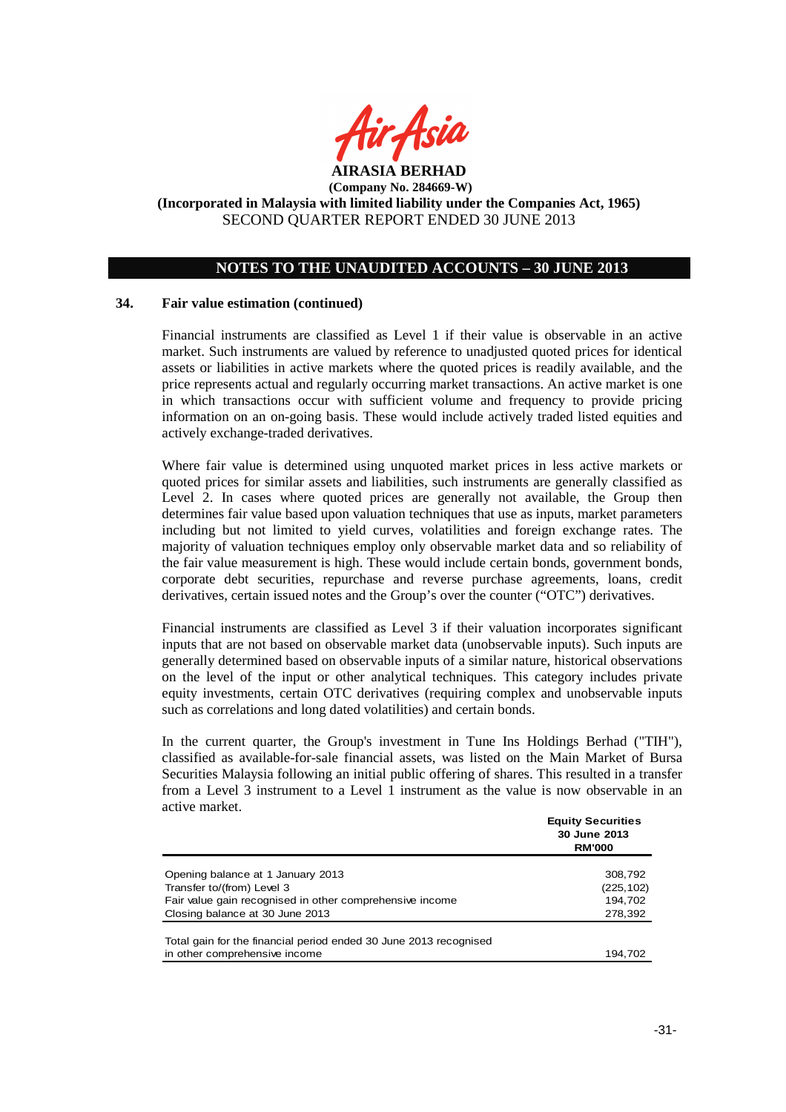

### **NOTES TO THE UNAUDITED ACCOUNTS – 30 JUNE 2013**

#### **34. Fair value estimation (continued)**

Financial instruments are classified as Level 1 if their value is observable in an active market. Such instruments are valued by reference to unadjusted quoted prices for identical assets or liabilities in active markets where the quoted prices is readily available, and the price represents actual and regularly occurring market transactions. An active market is one in which transactions occur with sufficient volume and frequency to provide pricing information on an on-going basis. These would include actively traded listed equities and actively exchange-traded derivatives.

Where fair value is determined using unquoted market prices in less active markets or quoted prices for similar assets and liabilities, such instruments are generally classified as Level 2. In cases where quoted prices are generally not available, the Group then determines fair value based upon valuation techniques that use as inputs, market parameters including but not limited to yield curves, volatilities and foreign exchange rates. The majority of valuation techniques employ only observable market data and so reliability of the fair value measurement is high. These would include certain bonds, government bonds, corporate debt securities, repurchase and reverse purchase agreements, loans, credit derivatives, certain issued notes and the Group's over the counter ("OTC") derivatives.

Financial instruments are classified as Level 3 if their valuation incorporates significant inputs that are not based on observable market data (unobservable inputs). Such inputs are generally determined based on observable inputs of a similar nature, historical observations on the level of the input or other analytical techniques. This category includes private equity investments, certain OTC derivatives (requiring complex and unobservable inputs such as correlations and long dated volatilities) and certain bonds.

In the current quarter, the Group's investment in Tune Ins Holdings Berhad ("TIH"), classified as available-for-sale financial assets, was listed on the Main Market of Bursa Securities Malaysia following an initial public offering of shares. This resulted in a transfer from a Level 3 instrument to a Level  $\overline{1}$  instrument as the value is now observable in an active market.

|                                                                   | <b>Equity Securities</b><br>30 June 2013<br><b>RM'000</b> |
|-------------------------------------------------------------------|-----------------------------------------------------------|
|                                                                   |                                                           |
| Opening balance at 1 January 2013                                 | 308,792                                                   |
| Transfer to/(from) Level 3                                        | (225, 102)                                                |
| Fair value gain recognised in other comprehensive income          | 194,702                                                   |
| Closing balance at 30 June 2013                                   | 278,392                                                   |
|                                                                   |                                                           |
| Total gain for the financial period ended 30 June 2013 recognised |                                                           |
| in other comprehensive income                                     | 194.702                                                   |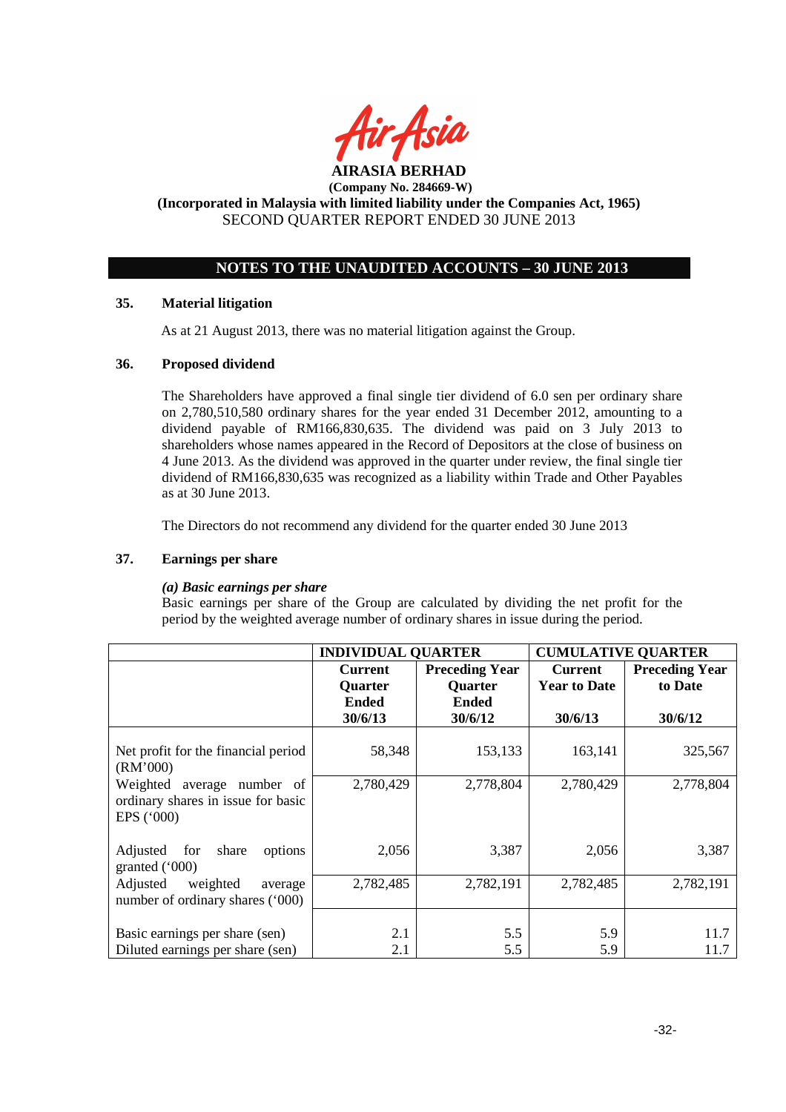

# **NOTES TO THE UNAUDITED ACCOUNTS – 30 JUNE 2013**

### **35. Material litigation**

As at 21 August 2013, there was no material litigation against the Group.

### **36. Proposed dividend**

The Shareholders have approved a final single tier dividend of 6.0 sen per ordinary share on 2,780,510,580 ordinary shares for the year ended 31 December 2012, amounting to a dividend payable of RM166,830,635. The dividend was paid on 3 July 2013 to shareholders whose names appeared in the Record of Depositors at the close of business on 4 June 2013. As the dividend was approved in the quarter under review, the final single tier dividend of RM166,830,635 was recognized as a liability within Trade and Other Payables as at 30 June 2013.

The Directors do not recommend any dividend for the quarter ended 30 June 2013

### **37. Earnings per share**

### *(a) Basic earnings per share*

 Basic earnings per share of the Group are calculated by dividing the net profit for the period by the weighted average number of ordinary shares in issue during the period.

|                                                                                   | <b>INDIVIDUAL QUARTER</b> |                       | <b>CUMULATIVE QUARTER</b> |                       |
|-----------------------------------------------------------------------------------|---------------------------|-----------------------|---------------------------|-----------------------|
|                                                                                   | <b>Current</b>            | <b>Preceding Year</b> | <b>Current</b>            | <b>Preceding Year</b> |
|                                                                                   | Quarter                   | <b>Quarter</b>        | <b>Year to Date</b>       | to Date               |
|                                                                                   | <b>Ended</b>              | <b>Ended</b>          |                           |                       |
|                                                                                   | 30/6/13                   | 30/6/12               | 30/6/13                   | 30/6/12               |
| Net profit for the financial period<br>(RM'000)                                   | 58,348                    | 153,133               | 163,141                   | 325,567               |
| Weighted<br>average number of<br>ordinary shares in issue for basic<br>EPS ('000) | 2,780,429                 | 2,778,804             | 2,780,429                 | 2,778,804             |
| for<br>share<br>Adjusted<br>options<br>granted $('000)$                           | 2,056                     | 3,387                 | 2,056                     | 3,387                 |
| Adjusted<br>weighted<br>average<br>number of ordinary shares ('000)               | 2,782,485                 | 2,782,191             | 2,782,485                 | 2,782,191             |
| Basic earnings per share (sen)<br>Diluted earnings per share (sen)                | 2.1<br>2.1                | 5.5<br>5.5            | 5.9<br>5.9                | 11.7<br>11.7          |